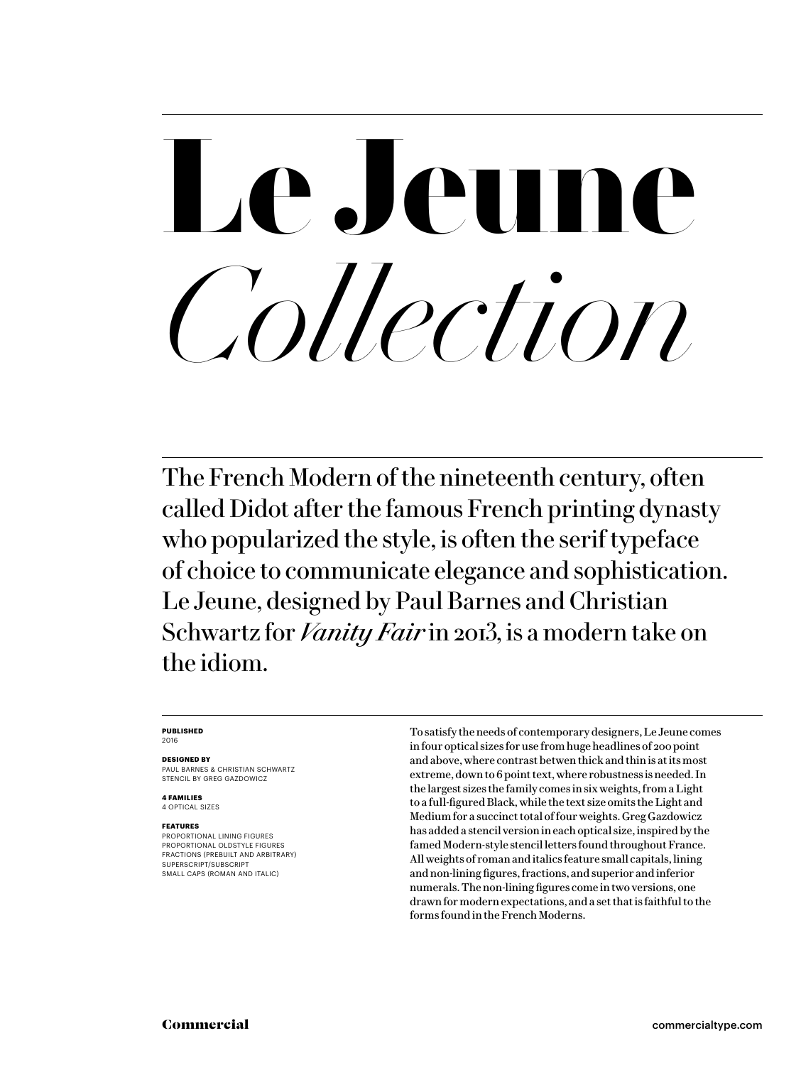# **Le Jeune**  *Collection*

The French Modern of the nineteenth century, often called Didot after the famous French printing dynasty who popularized the style, is often the serif typeface of choice to communicate elegance and sophistication. Le Jeune, designed by Paul Barnes and Christian Schwartz for *Vanity Fair* in 2013, is a modern take on the idiom.

### **PUBLISHED** 2016

### **DESIGNED BY**

PAUL BARNES & CHRISTIAN SCHWARTZ STENCIL BY GREG GAZDOWICZ

**4 FAMILIES** 4 OPTICAL SIZES

### **FEATURES**

PROPORTIONAL LINING FIGURES PROPORTIONAL OLDSTYLE FIGURES FRACTIONS (PREBUILT AND ARBITRARY) SUPERSCRIPT/SUBSCRIPT SMALL CAPS (ROMAN AND ITALIC)

To satisfy the needs of contemporary designers, Le Jeune comes in four optical sizes for use from huge headlines of 200 point and above, where contrast betwen thick and thin is at its most extreme, down to 6 point text, where robustness is needed. In the largest sizes the family comes in six weights, from a Light to a full-figured Black, while the text size omits the Light and Medium for a succinct total of four weights. Greg Gazdowicz has added a stencil version in each optical size, inspired by the famed Modern-style stencil letters found throughout France. All weights of roman and italics feature small capitals, lining and non-lining figures, fractions, and superior and inferior numerals. The non-lining figures come in two versions, one drawn for modern expectations, and a set that is faithful to the forms found in the French Moderns.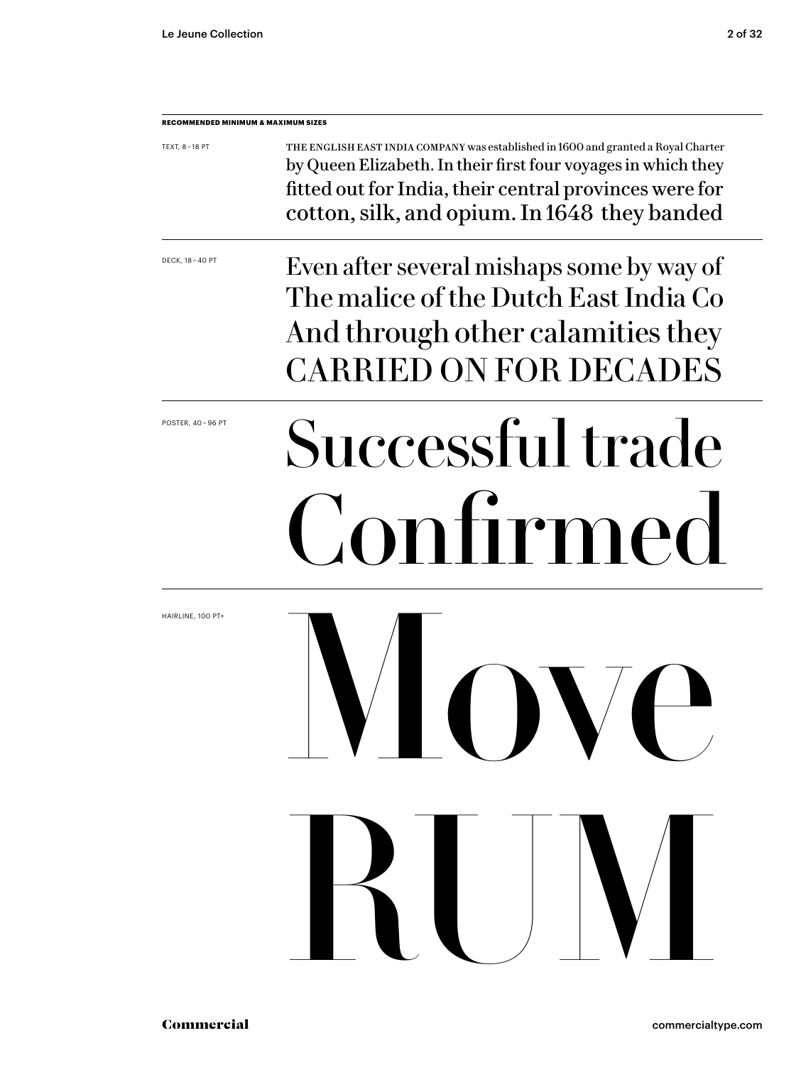| RECOMMENDED MINIMUM & MAXIMUM SIZES |                                                                                                                                                                                                                                                               |
|-------------------------------------|---------------------------------------------------------------------------------------------------------------------------------------------------------------------------------------------------------------------------------------------------------------|
| TEXT, 8-18 PT                       | THE ENGLISH EAST INDIA COMPANY was established in 1600 and granted a Royal Charter<br>by Queen Elizabeth. In their first four voyages in which they<br>fitted out for India, their central provinces were for<br>cotton, silk, and opium. In 1648 they banded |
| DECK, 18 - 40 PT                    | Even after several mishaps some by way of<br>The malice of the Dutch East India Co<br>And through other calamities they<br><b>CARRIED ON FOR DECADES</b>                                                                                                      |
| POSTER, 40-96 PT                    | Successful trade<br>Confirmed                                                                                                                                                                                                                                 |
| HAIRLINE, 100 PT+                   | 7<br>IVIN PVN                                                                                                                                                                                                                                                 |
|                                     | RUV                                                                                                                                                                                                                                                           |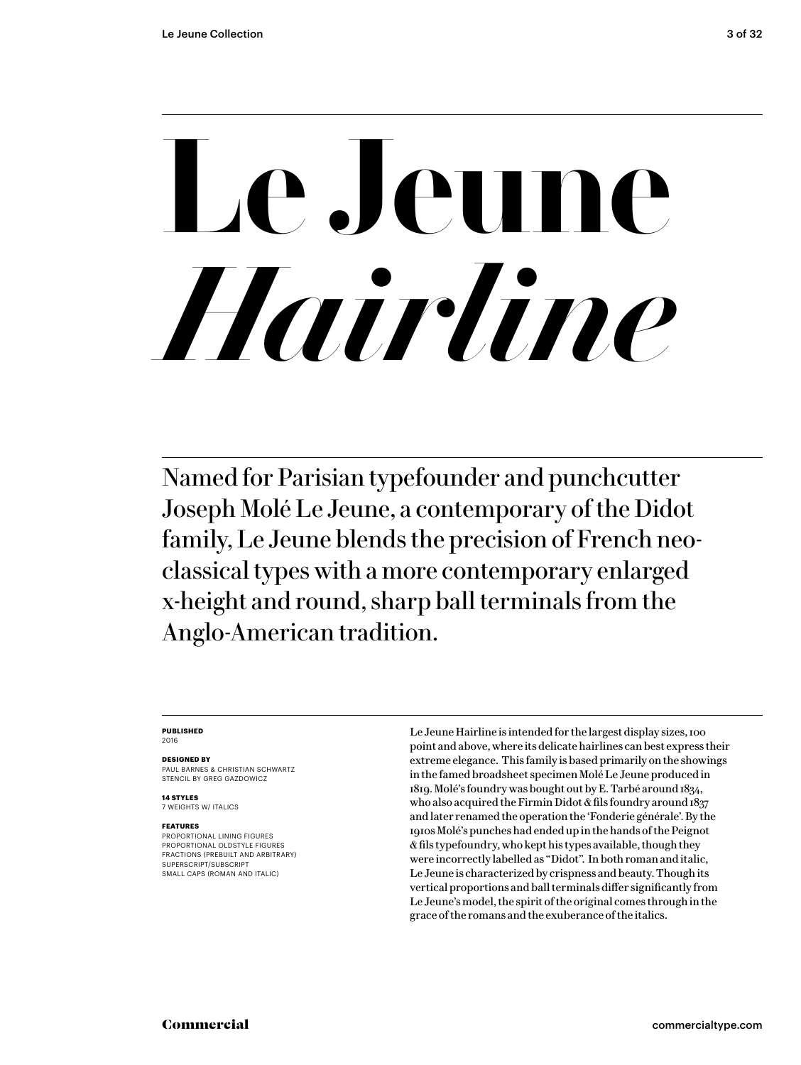# **Le Jeune**  *Hairline*

Named for Parisian typefounder and punchcutter Joseph Molé Le Jeune, a contemporary of the Didot family, Le Jeune blends the precision of French neoclassical types with a more contemporary enlarged x-height and round, sharp ball terminals from the Anglo-American tradition.

### **PUBLISHED**

2016

### **DESIGNED BY**

PAUL BARNES & CHRISTIAN SCHWARTZ STENCIL BY GREG GAZDOWICZ

**14 STYLES** 7 WEIGHTS W/ ITALICS

### **FEATURES**

PROPORTIONAL LINING FIGURES PROPORTIONAL OLDSTYLE FIGURES FRACTIONS (PREBUILT AND ARBITRARY) SUPERSCRIPT/SUBSCRIPT SMALL CAPS (ROMAN AND ITALIC)

Le Jeune Hairline is intended for the largest display sizes, 100 point and above, where its delicate hairlines can best express their extreme elegance. This family is based primarily on the showings in the famed broadsheet specimen Molé Le Jeune produced in 1819. Molé's foundry was bought out by E. Tarbé around 1834, who also acquired the Firmin Didot & fils foundry around 1837 and later renamed the operation the 'Fonderie générale'. By the 1910s Molé's punches had ended up in the hands of the Peignot & fils typefoundry, who kept his types available, though they were incorrectly labelled as "Didot". In both roman and italic, Le Jeune is characterized by crispness and beauty. Though its vertical proportions and ball terminals differ significantly from Le Jeune's model, the spirit of the original comes through in the grace of the romans and the exuberance of the italics.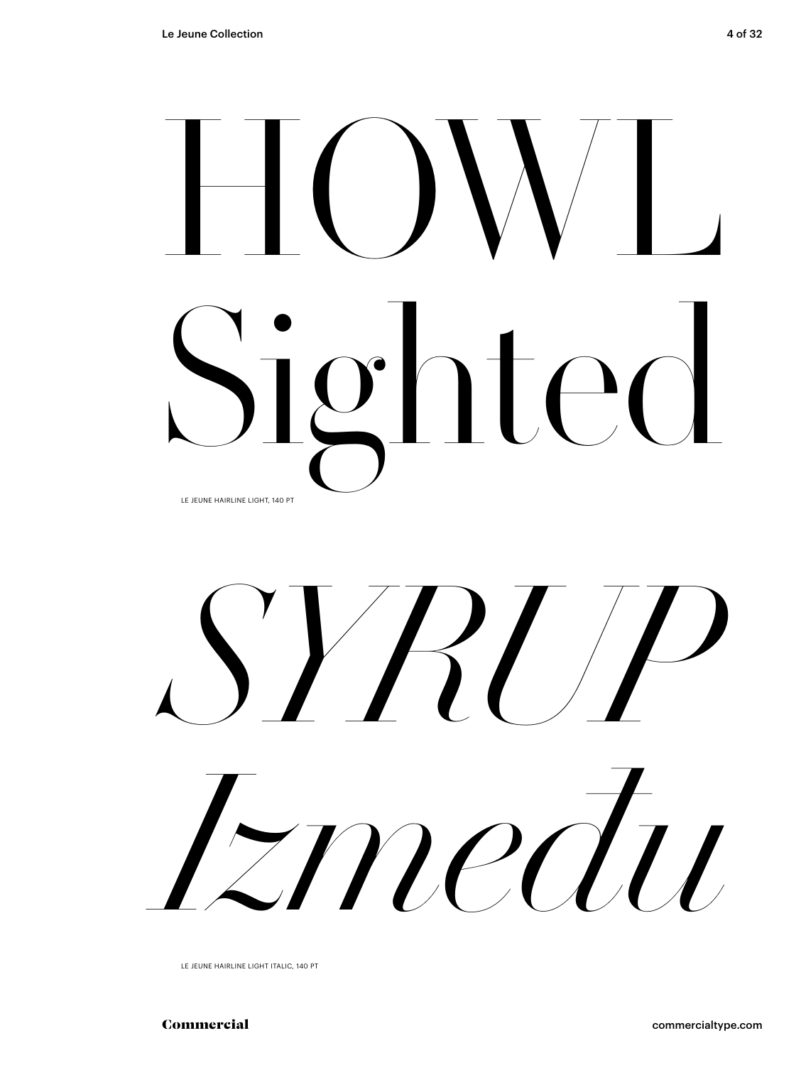# $\bigsqcup$ Sighted LE JEUNE HAIRLINE LIGHT, 140 PT



LE JEUNE HAIRLINE LIGHT ITALIC, 140 PT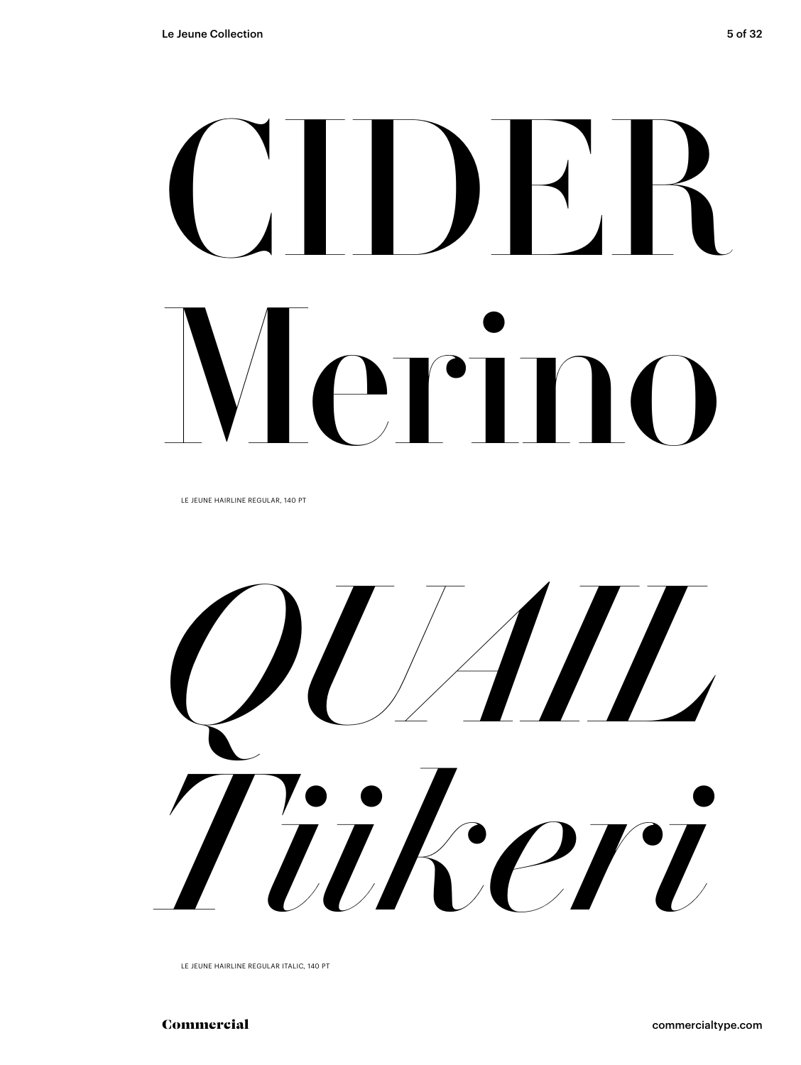# CIDER Merino

LE JEUNE HAIRLINE REGULAR, 140 PT



LE JEUNE HAIRLINE REGULAR ITALIC, 140 PT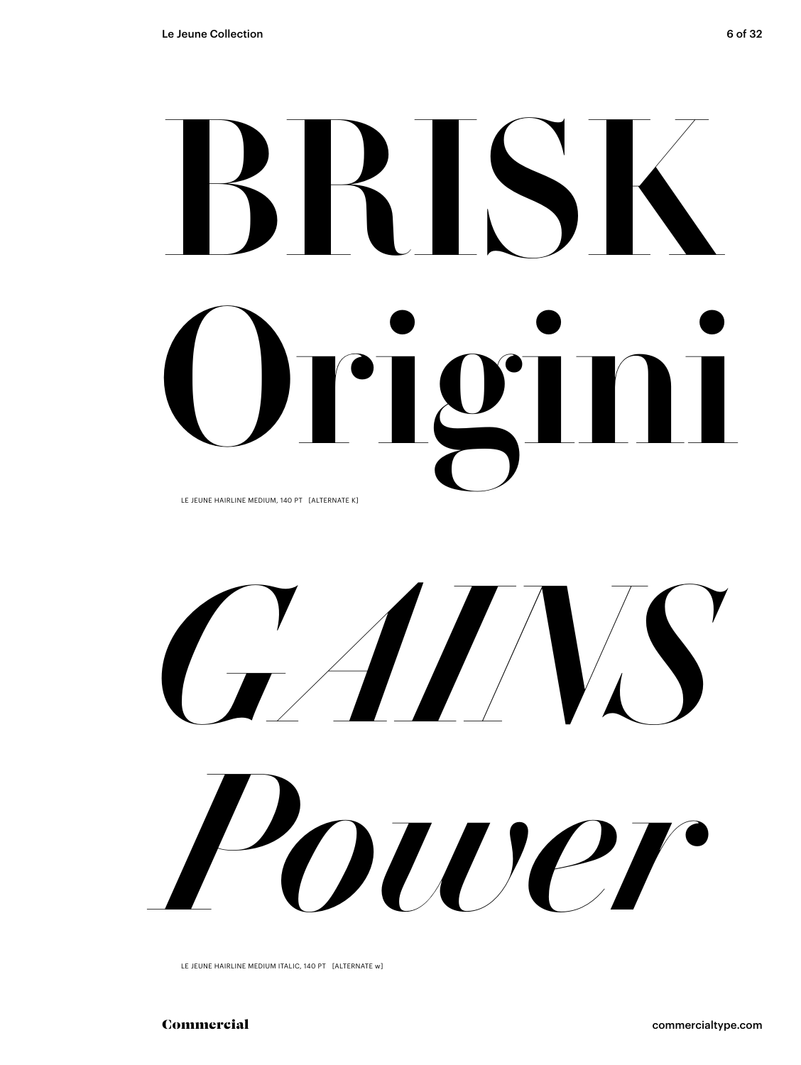# BRISK Origini LE JEUNE HAIRLINE MEDIUM, 140 PT [ALTERNATE K]

*GAINS Power*

LE JEUNE HAIRLINE MEDIUM ITALIC, 140 PT [ALTERNATE w]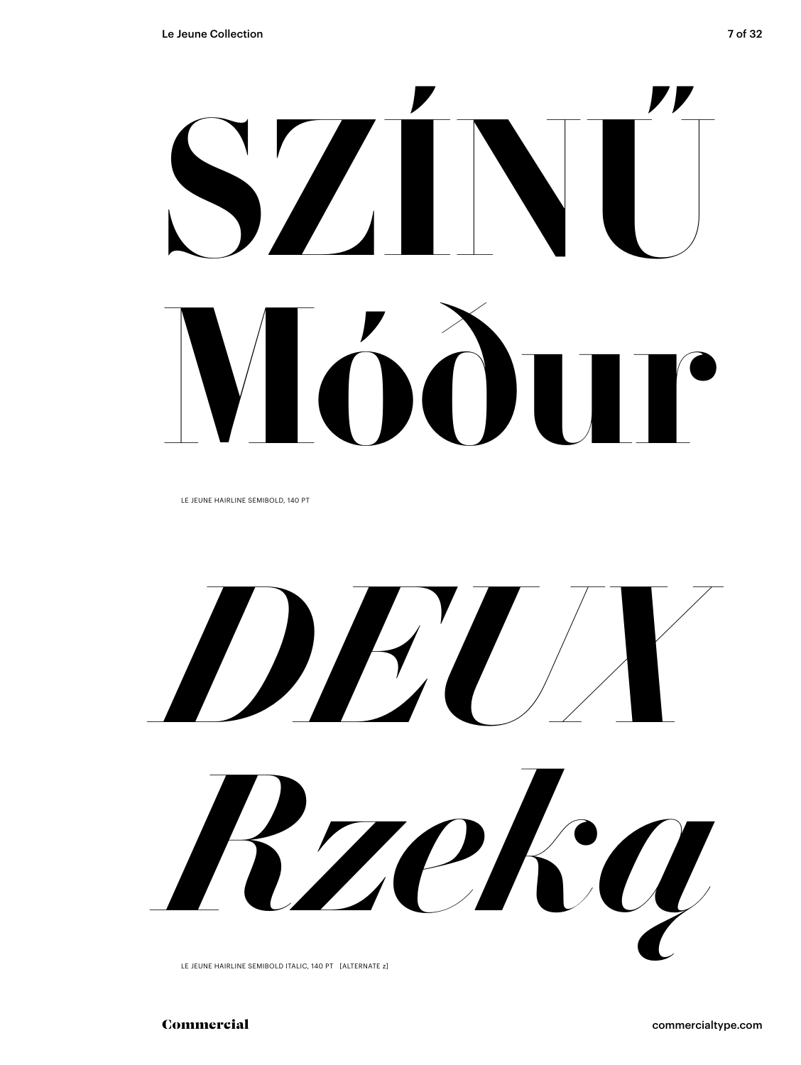LE JEUNE HAIRLINE SEMIBOLD, 140 PT

*DEUX Rzeką*

LE JEUNE HAIRLINE SEMIBOLD ITALIC, 140 PT [ALTERNATE z]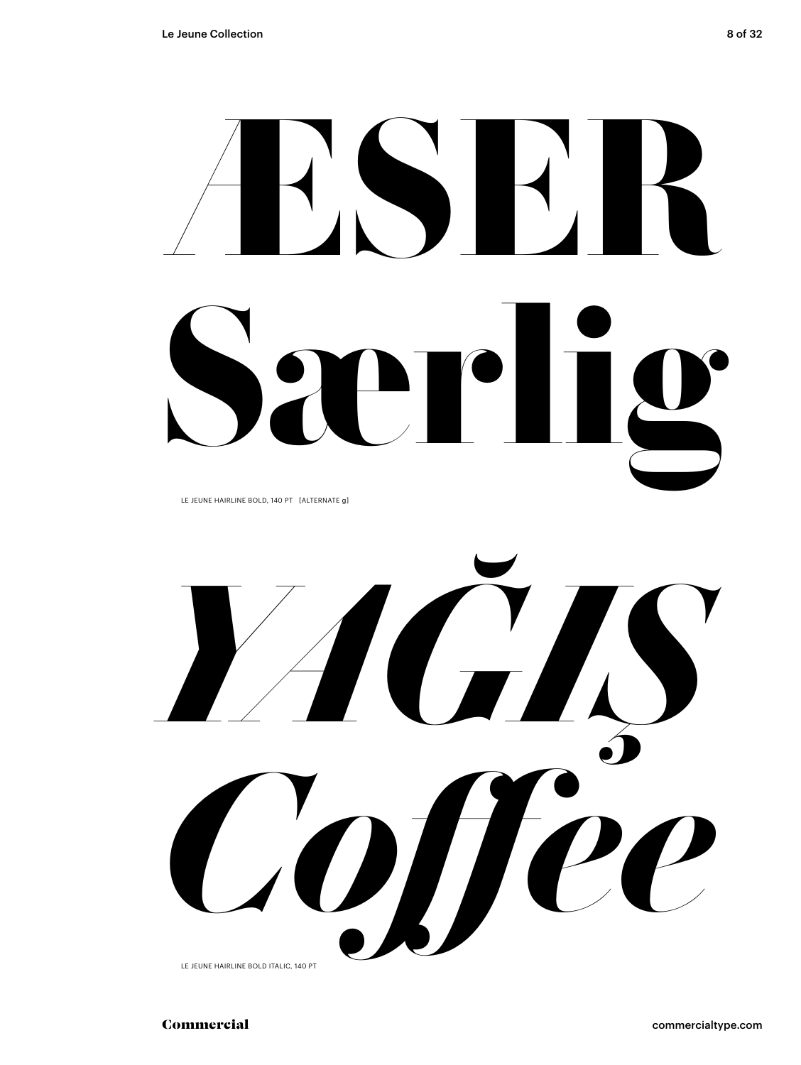# **ÆSER Særlig** LE JEUNE HAIRLINE BOLD, 140 PT [ALTERNATE g]



LE JEUNE HAIRLINE BOLD ITALIC, 140 PT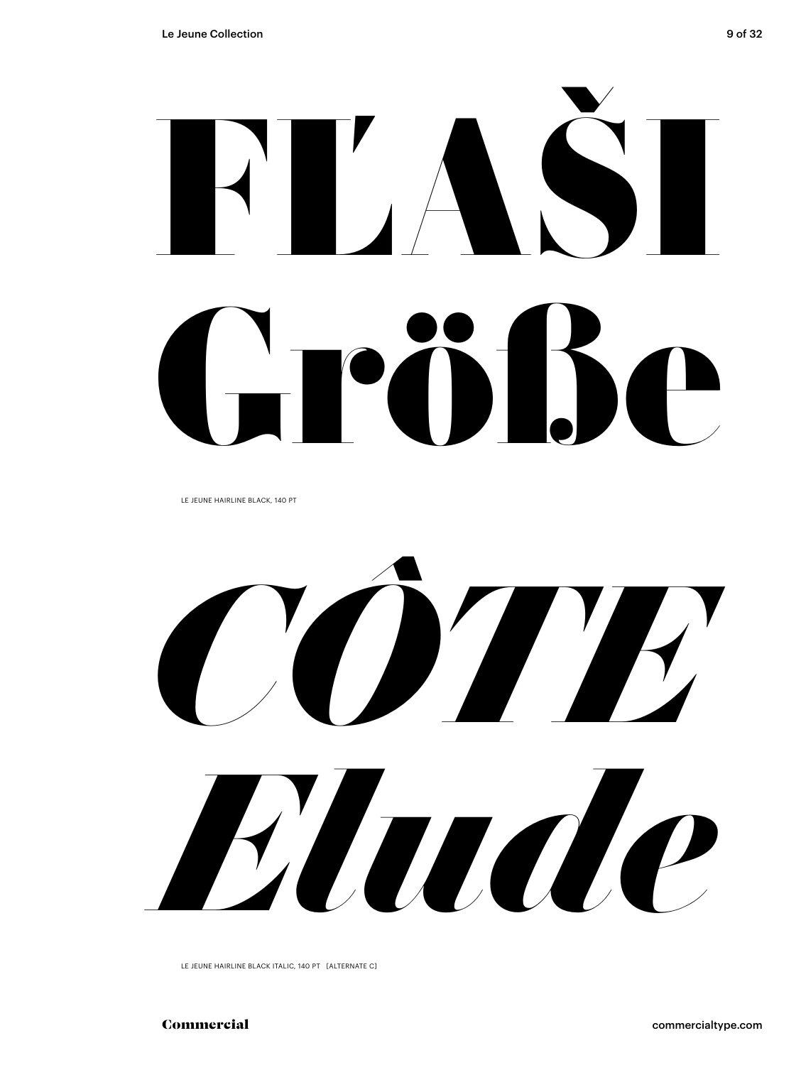FĽAŠI LPÖB6

LE JEUNE HAIRLINE BLACK, 140 PT



LE JEUNE HAIRLINE BLACK ITALIC, 140 PT [ALTERNATE C]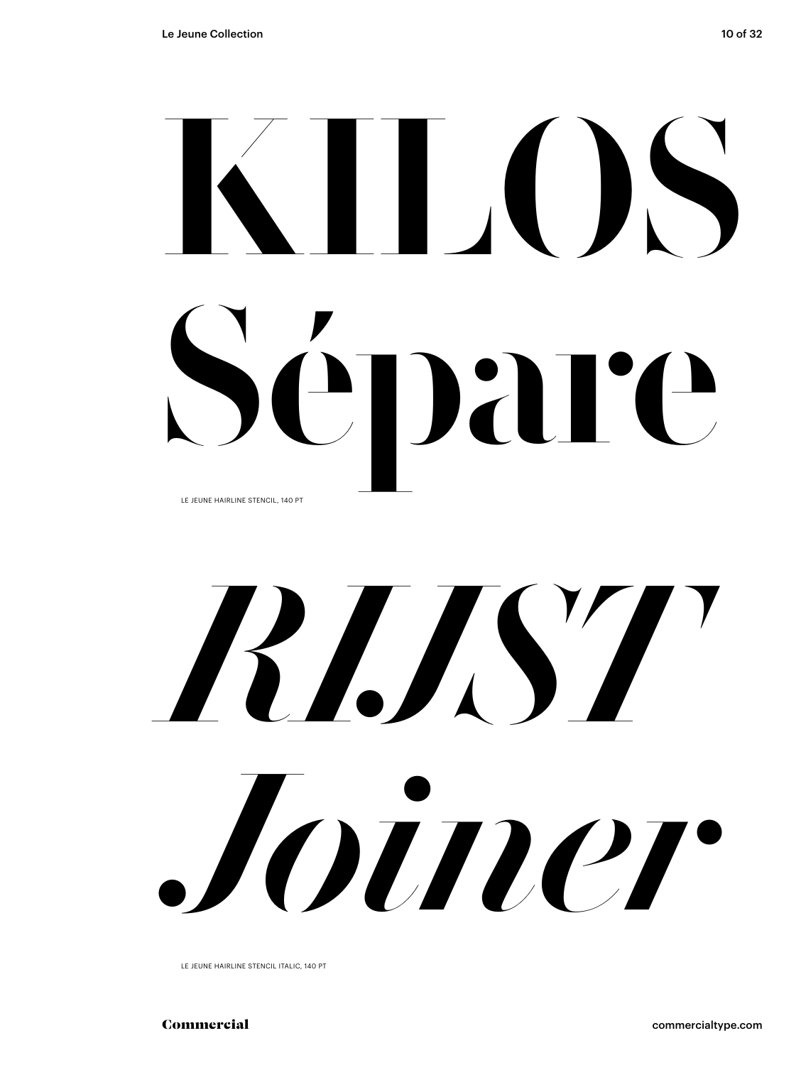# KILOS Sépare LE JEUNE HAIRLINE STENCIL, 140 PT

# *RIJST Joiner*

LE JEUNE HAIRLINE STENCIL ITALIC, 140 PT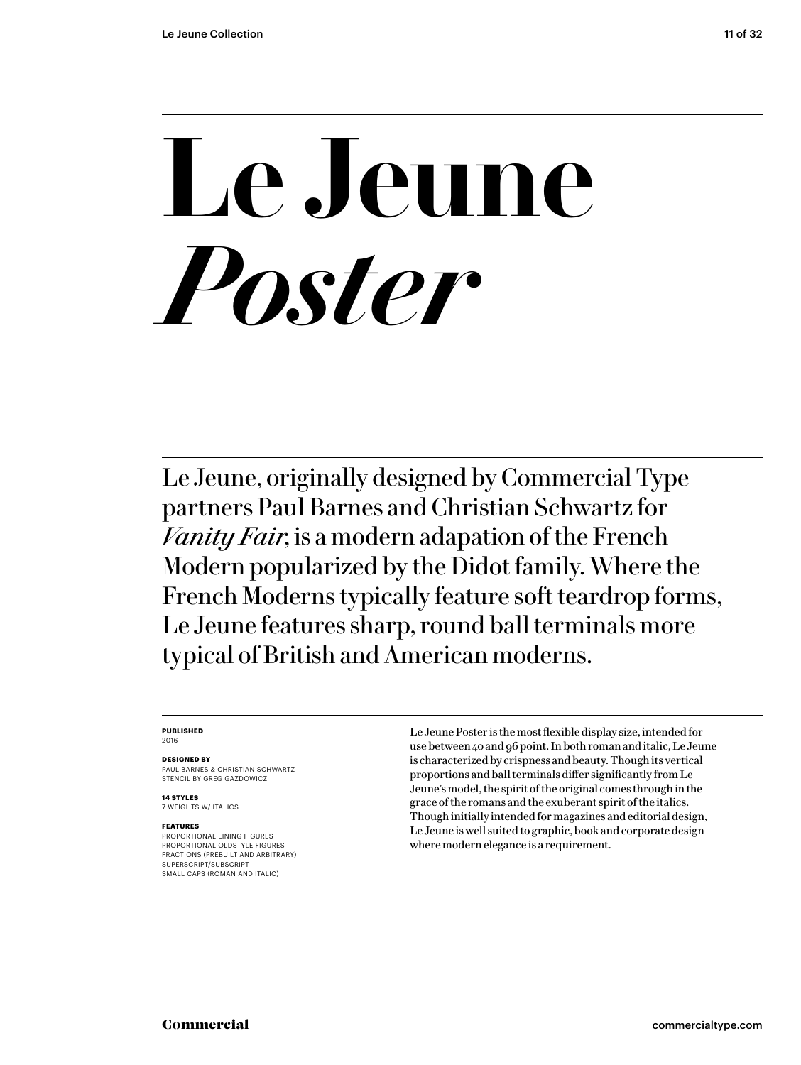# **Le Jeune** *Poster*

Le Jeune, originally designed by Commercial Type partners Paul Barnes and Christian Schwartz for *Vanity Fair*, is a modern adapation of the French Modern popularized by the Didot family. Where the French Moderns typically feature soft teardrop forms, Le Jeune features sharp, round ball terminals more typical of British and American moderns.

### **PUBLISHED** 2016

### **DESIGNED BY**

PAUL BARNES & CHRISTIAN SCHWARTZ STENCIL BY GREG GAZDOWICZ

**14 STYLES** 7 WEIGHTS W/ ITALICS

### **FEATURES**

PROPORTIONAL LINING FIGURES PROPORTIONAL OLDSTYLE FIGURES FRACTIONS (PREBUILT AND ARBITRARY) SUPERSCRIPT/SUBSCRIPT SMALL CAPS (ROMAN AND ITALIC)

Le Jeune Poster is the most flexible display size, intended for use between 40 and 96 point. In both roman and italic, Le Jeune is characterized by crispness and beauty. Though its vertical proportions and ball terminals differ significantly from Le Jeune's model, the spirit of the original comes through in the grace of the romans and the exuberant spirit of the italics. Though initially intended for magazines and editorial design, Le Jeune is well suited to graphic, book and corporate design where modern elegance is a requirement.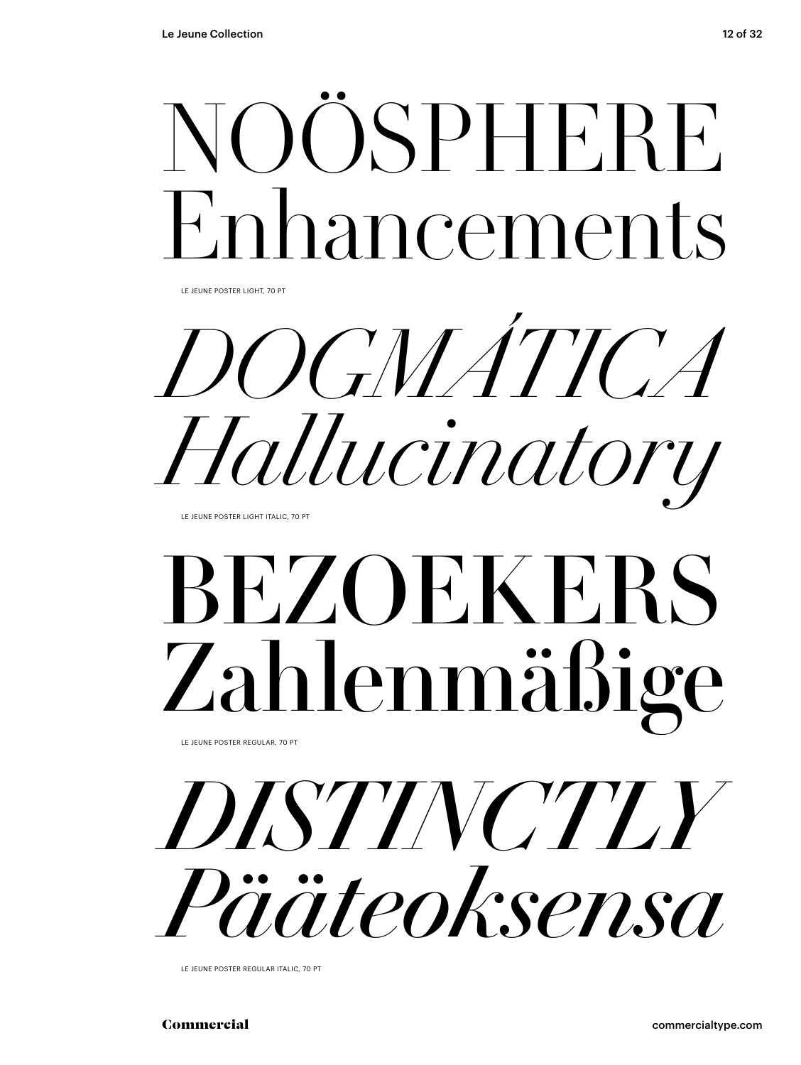

LE JEUNE POSTER LIGHT, 70 PT

*DOGMÁTICA Hallucinatory*

LE JEUNE POSTER LIGHT ITALIC, 70 PT

# BEZOEKERS Zahlenmäßige

LE JEUNE POSTER REGULAR, 70 PT



LE JEUNE POSTER REGULAR ITALIC, 70 PT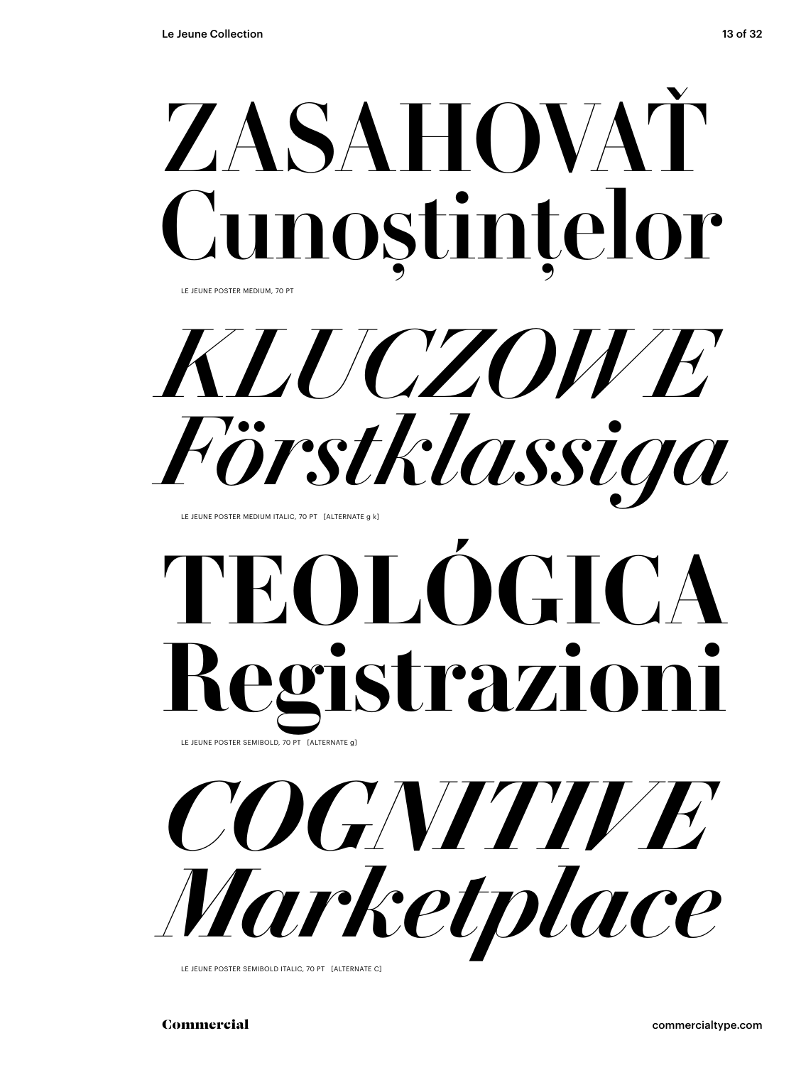

LE JEUNE POSTER MEDIUM, 70 PT

*KLUCZOWE Förstklassiga*

LE JEUNE POSTER MEDIUM ITALIC, 70 PT [ALTERNATE g k]

### **TEOLOGICA Registrazioni** LE JEUNE POSTER SEMIBOLD, 70 PT [ALTERNATE g]



*COGNITIVE Marketplace*

LE JEUNE POSTER SEMIBOLD ITALIC, 70 PT [ALTERNATE C]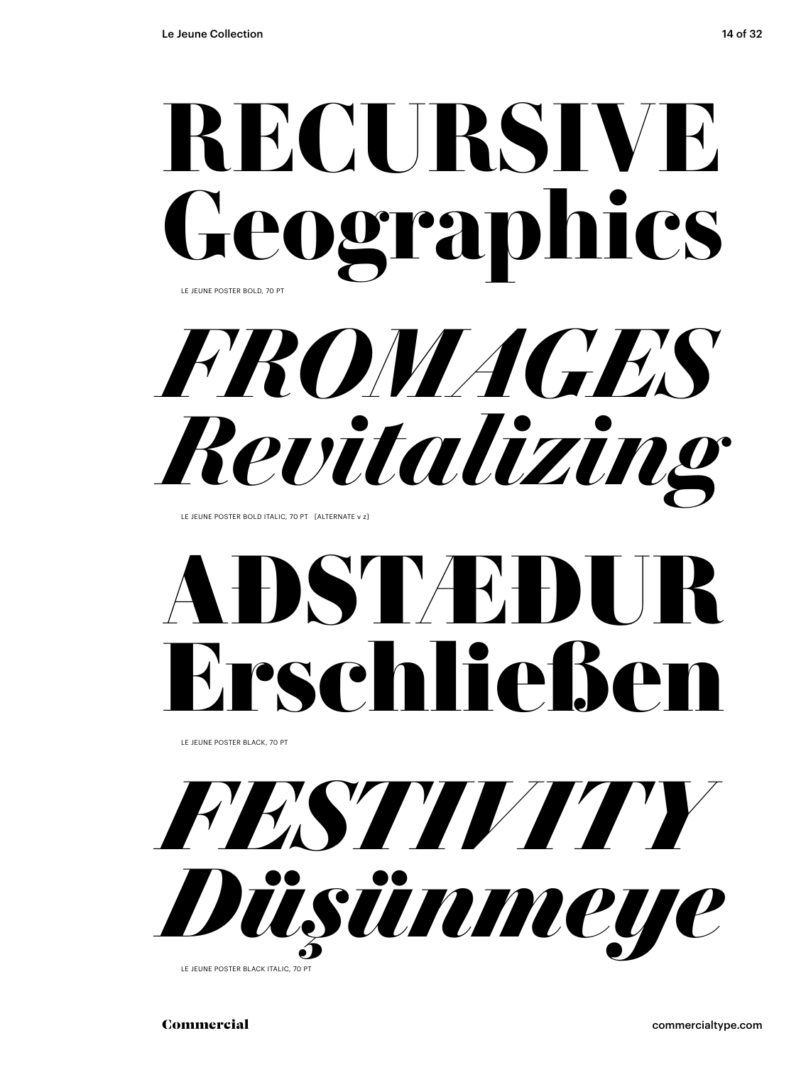

LE JEUNE POSTER BOLD, 70 PT

*FROMAGES Revitalizing*

LE JEUNE POSTER BOLD ITALIC, 70 PT [ALTERNATE v z]

# **ASTVE**H Erschließen

LE JEUNE POSTER BLACK, 70 PT



LE JEUNE POSTER BLACK ITALIC, 70 PT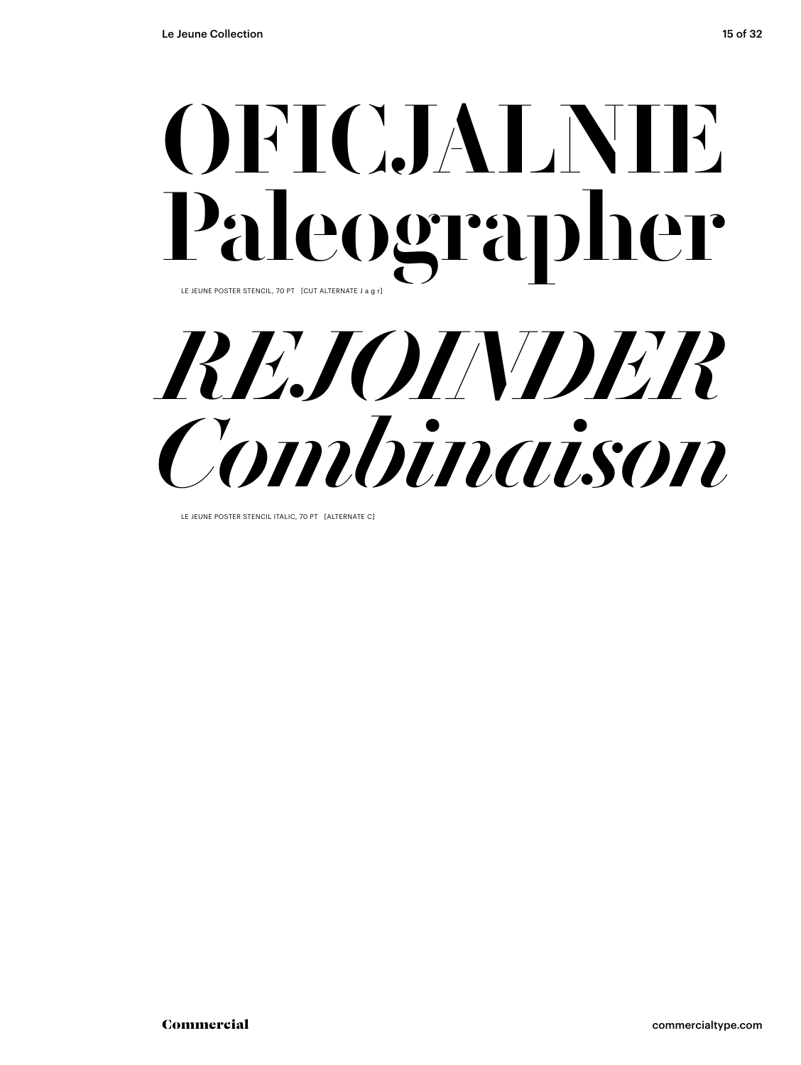### OFICJALNIE Paleographer LE JEUNE POSTER STENCIL, 70 PT [CUT ALTERNATE J a g r]



LE JEUNE POSTER STENCIL ITALIC, 70 PT [ALTERNATE C]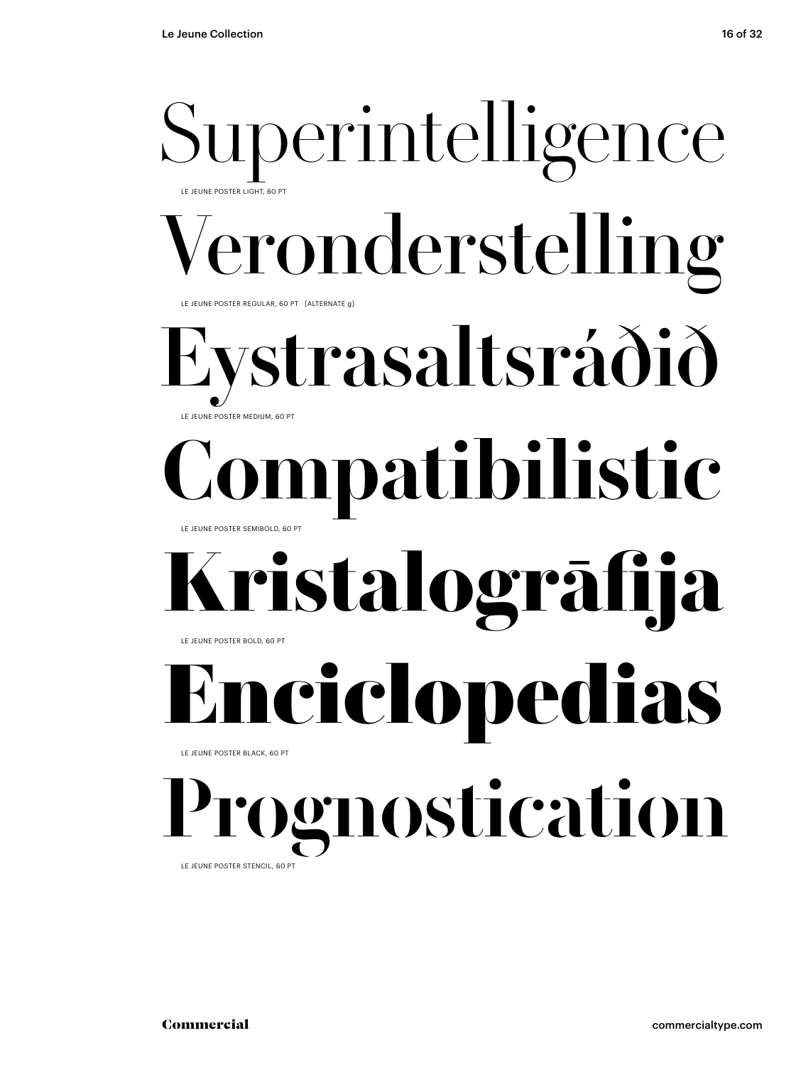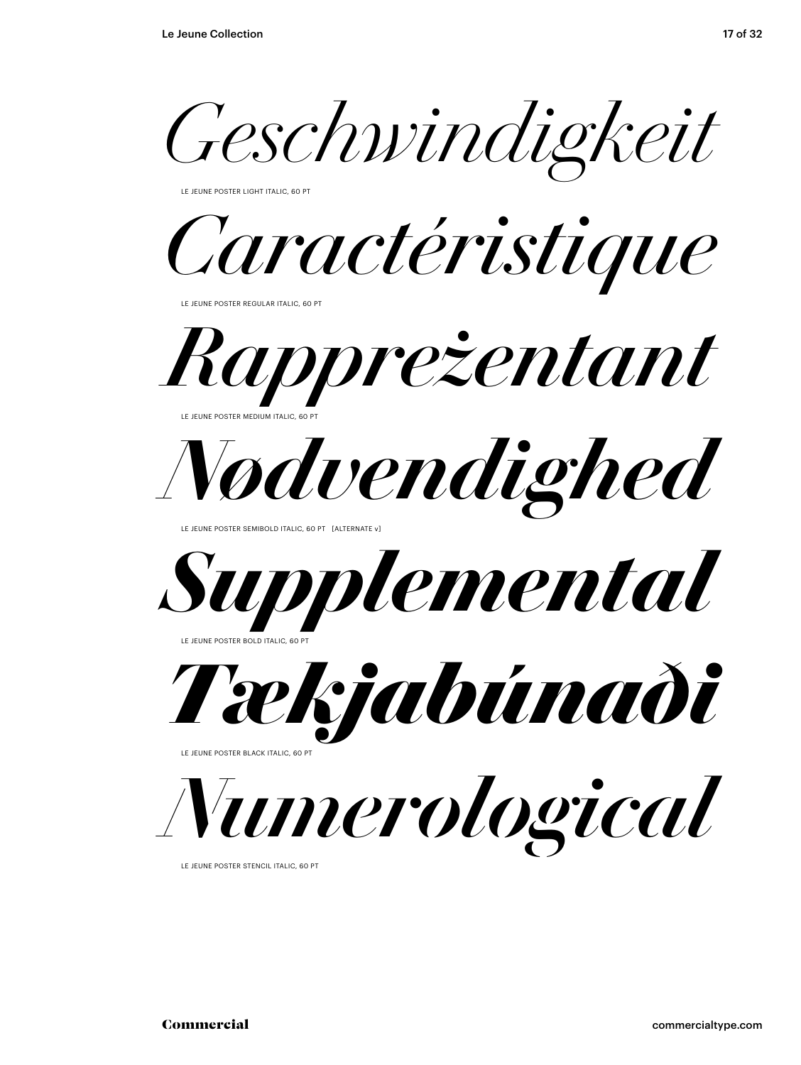*Geschwindigkeit*

LE JEUNE POSTER LIGHT ITALIC, 60 PT

*Caractéristique*

LE JEUNE POSTER REGULAR ITALIC, 60 PT



LE JEUNE POSTER MEDIUM ITALIC, 60 PT



LE JEUNE POSTER SEMIBOLD ITALIC, 60 PT [ALTERNATE v]



LE JEUNE POSTER BOLD ITALIC, 60 PT



LE JEUNE POSTER BLACK ITALIC, 60 PT



LE JEUNE POSTER STENCIL ITALIC, 60 PT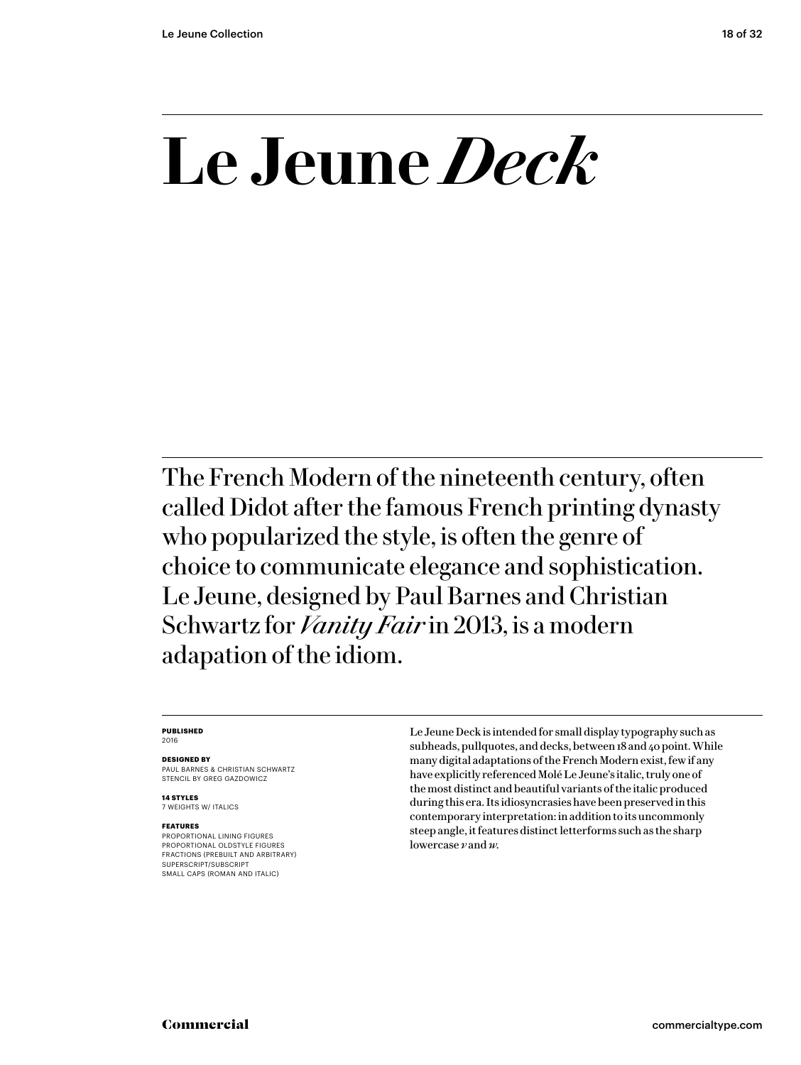## **Le Jeune** *Deck*

The French Modern of the nineteenth century, often called Didot after the famous French printing dynasty who popularized the style, is often the genre of choice to communicate elegance and sophistication. Le Jeune, designed by Paul Barnes and Christian Schwartz for *Vanity Fair* in 2013, is a modern adapation of the idiom.

### **PUBLISHED**

2016

### **DESIGNED BY**

PAUL BARNES & CHRISTIAN SCHWARTZ STENCIL BY GREG GAZDOWICZ

**14 STYLES** 7 WEIGHTS W/ ITALICS

### **FEATURES**

PROPORTIONAL LINING FIGURES PROPORTIONAL OLDSTYLE FIGURES FRACTIONS (PREBUILT AND ARBITRARY) SUPERSCRIPT/SUBSCRIPT SMALL CAPS (ROMAN AND ITALIC)

Le Jeune Deck is intended for small display typography such as subheads, pullquotes, and decks, between 18 and 40 point. While many digital adaptations of the French Modern exist, few if any have explicitly referenced Molé Le Jeune's italic, truly one of the most distinct and beautiful variants of the italic produced during this era. Its idiosyncrasies have been preserved in this contemporary interpretation: in addition to its uncommonly steep angle, it features distinct letterforms such as the sharp lowercase *v* and *w.*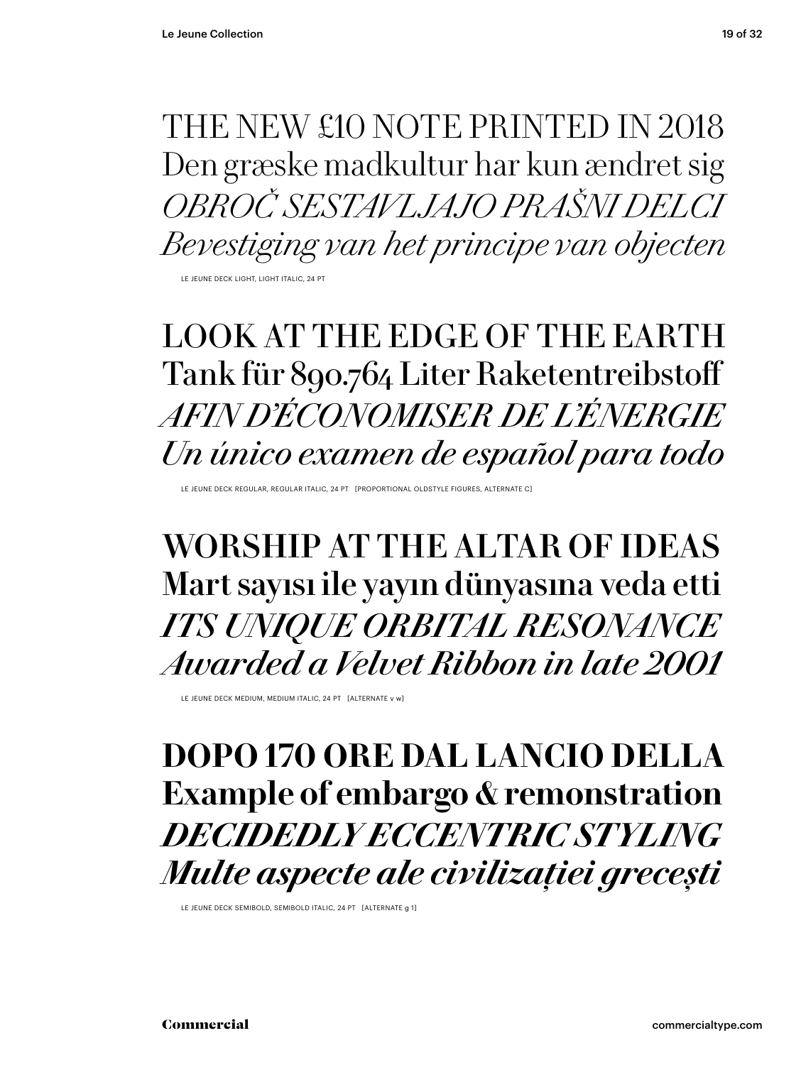THE NEW £10 NOTE PRINTED IN 2018 Den græske madkultur har kun ændret sig *OBROČ SESTAVLJAJO PRAŠNI DELCI Bevestiging van het principe van objecten* LE JEUNE DECK LIGHT, LIGHT ITALIC, 24 PT

### LOOK AT THE EDGE OF THE EARTH Tank für 890.764 Liter Raketentreibstoff *AFIN D'ÉCONOMISER DE L'ÉNERGIE Un único examen de español para todo*

LE JEUNE DECK REGULAR, REGULAR ITALIC, 24 PT [PROPORTIONAL OLDSTYLE FIGURES, ALTERNATE C]

WORSHIP AT THE ALTAR OF IDEAS Mart sayısı ile yayın dünyasına veda etti *ITS UNIQUE ORBITAL RESONANCE Awarded a Velvet Ribbon in late 2001*

LE JEUNE DECK MEDIUM, MEDIUM ITALIC, 24 PT [ALTERNATE v w]

**DOPO 170 ORE DAL LANCIO DELLA Example of embargo & remonstration** *DECIDEDLY ECCENTRIC STYLING Multe aspecte ale civilizației grecești* 

LE JEUNE DECK SEMIBOLD, SEMIBOLD ITALIC, 24 PT [ALTERNATE g 1]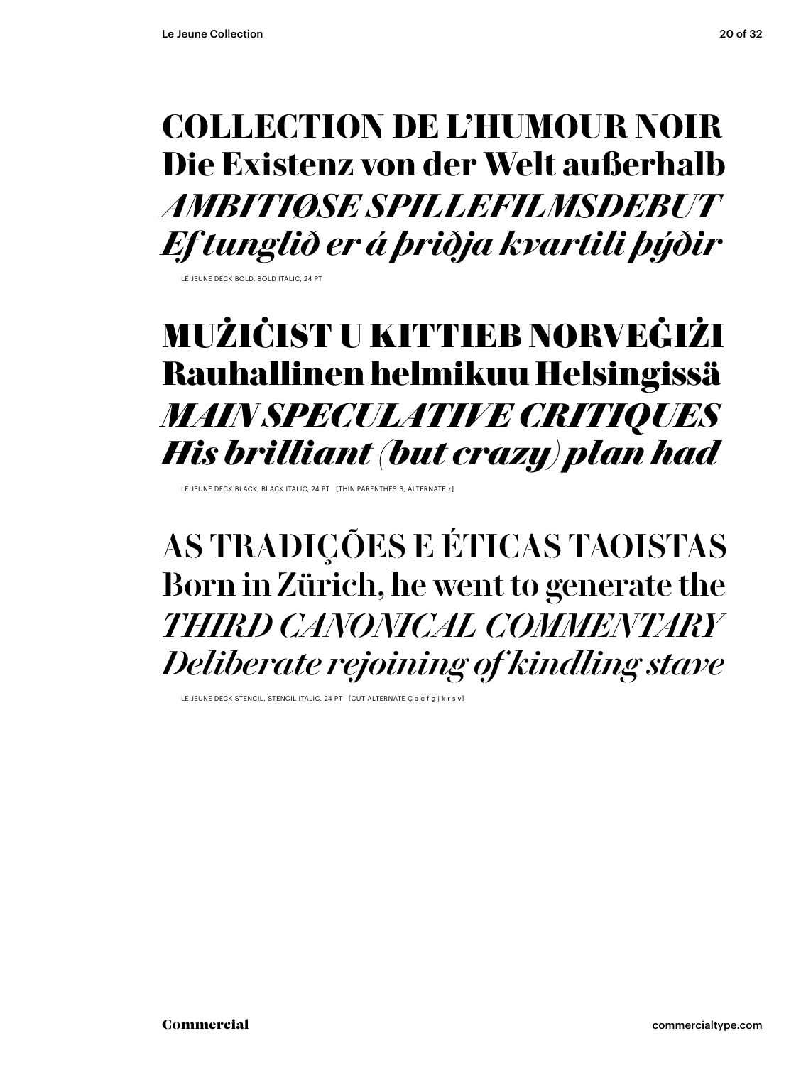### **COLLECTION DE L'HUMOUR NOIR Die Existenz von der Welt außerhalb** *AMBITIØSE SPILLEFILMSDEBUT Ef tunglið er á þriðja kvartili þýðir*

LE JEUNE DECK BOLD, BOLD ITALIC, 24 PT

### MUŻIĊIST U KITTIEB NORVEĠIŻI Rauhallinen helmikuu Helsingissä *MAIN SPECULATIVE CRITIQUES His brilliant (but crazy) plan had*

LE JEUNE DECK BLACK, BLACK ITALIC, 24 PT [THIN PARENTHESIS, ALTERNATE z]

AS TRADIÇÕES E ÉTICAS TAOISTAS Born in Zürich, he went to generate the *THIRD CANONICAL COMMENTARY Deliberate rejoining of kindling stave*

LE JEUNE DECK STENCIL, STENCIL ITALIC, 24 PT [CUT ALTERNATE Ç a c f g j k r s v]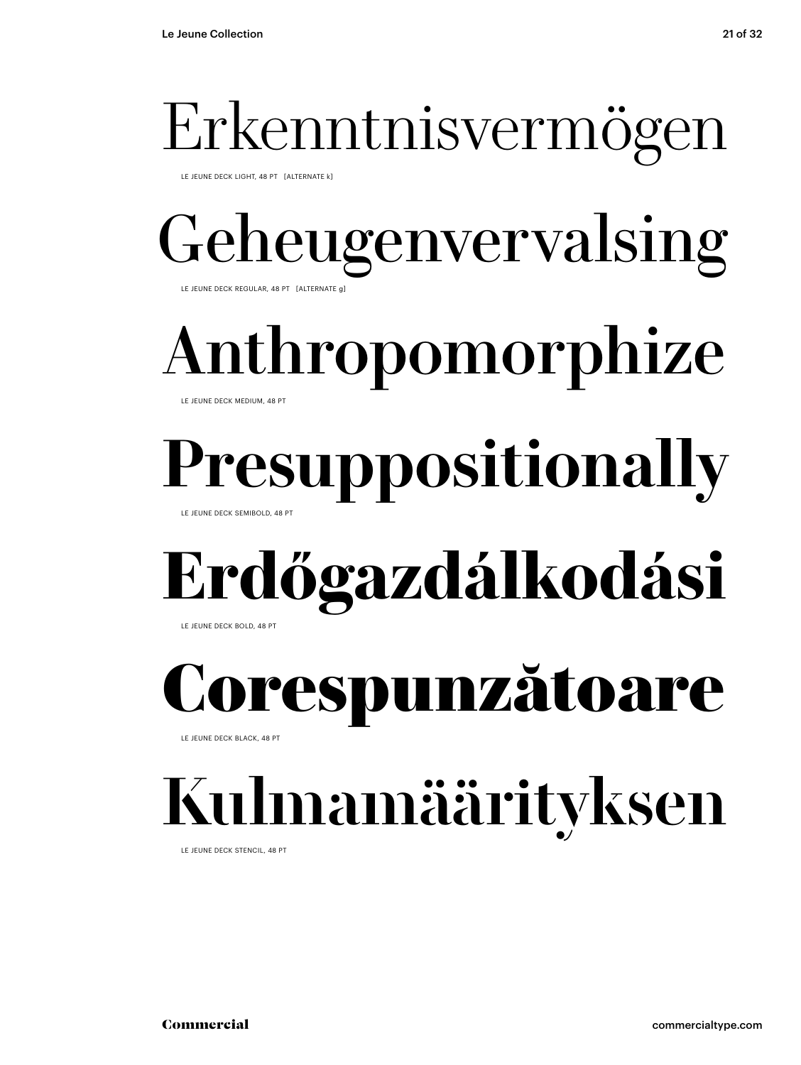### Erkenntnisvermögen

LE JEUNE DECK LIGHT, 48 PT [ALTERNATE k]

### Geheugenvervalsing LE JEUNE DECK REGULAR, 48 PT [ALTERNATE g]

# Anthropomorphize

### LE JEUNE DECK MEDIUM, 48 PT

## **Presuppositionally**

LE JEUNE DECK SEMIBOLD, 48 PT

### **Erdőgazdálkodási**  LE JEUNE DECK BOLD, 48 PT

respunzătoare

LE JEUNE DECK BLACK, 48 PT

## Kulmamäärityksen

LE JEUNE DECK STENCIL, 48 PT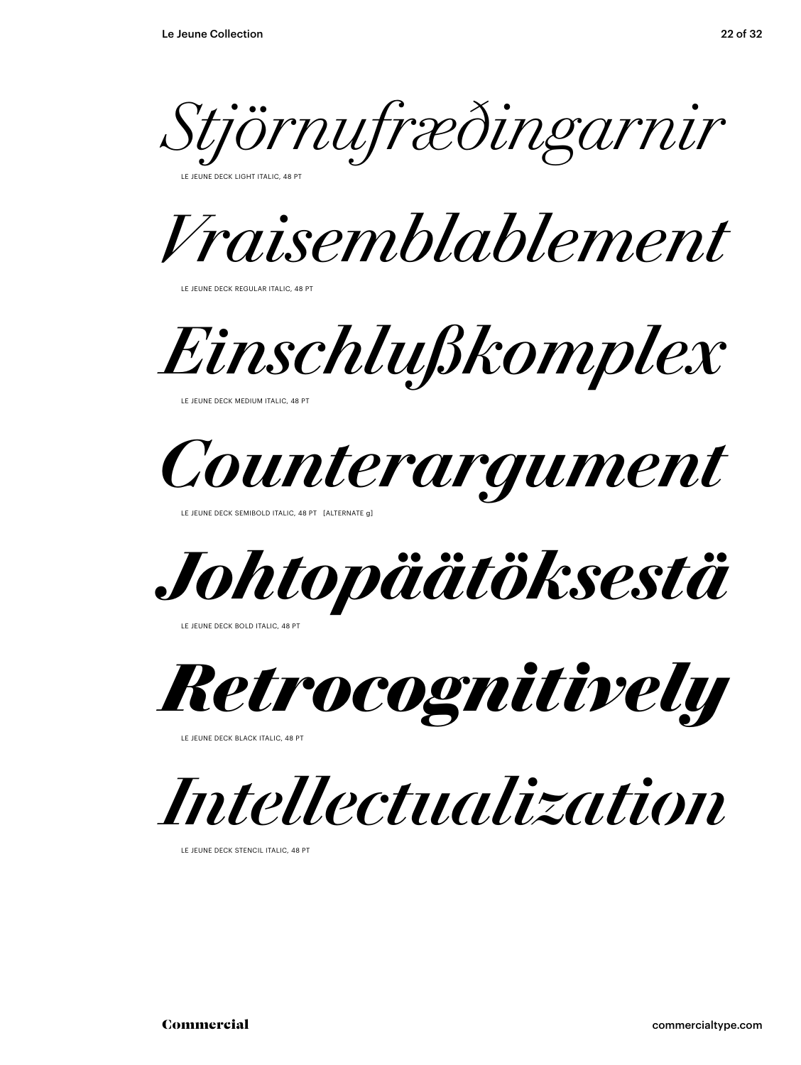*Stjörnufræðingarnir* 

**ELINE DECK LIGHT ITALIC, 48 PT** 

*Vraisemblablement* 

LE JEUNE DECK REGULAR ITALIC, 48 PT

*Einschlußkomplex*

LE JEUNE DECK MEDIUM ITALIC, 48 PT



LE JEUNE DECK SEMIBOLD ITALIC, 48 PT [ALTERNATE g]

*Johtopäätöksestä* 

LE JEUNE DECK BOLD ITALIC, 48 PT

*Retrocognitively* 

LE JEUNE DECK BLACK ITALIC, 48 PT

*Intellectualization* 

LE JEUNE DECK STENCIL ITALIC, 48 PT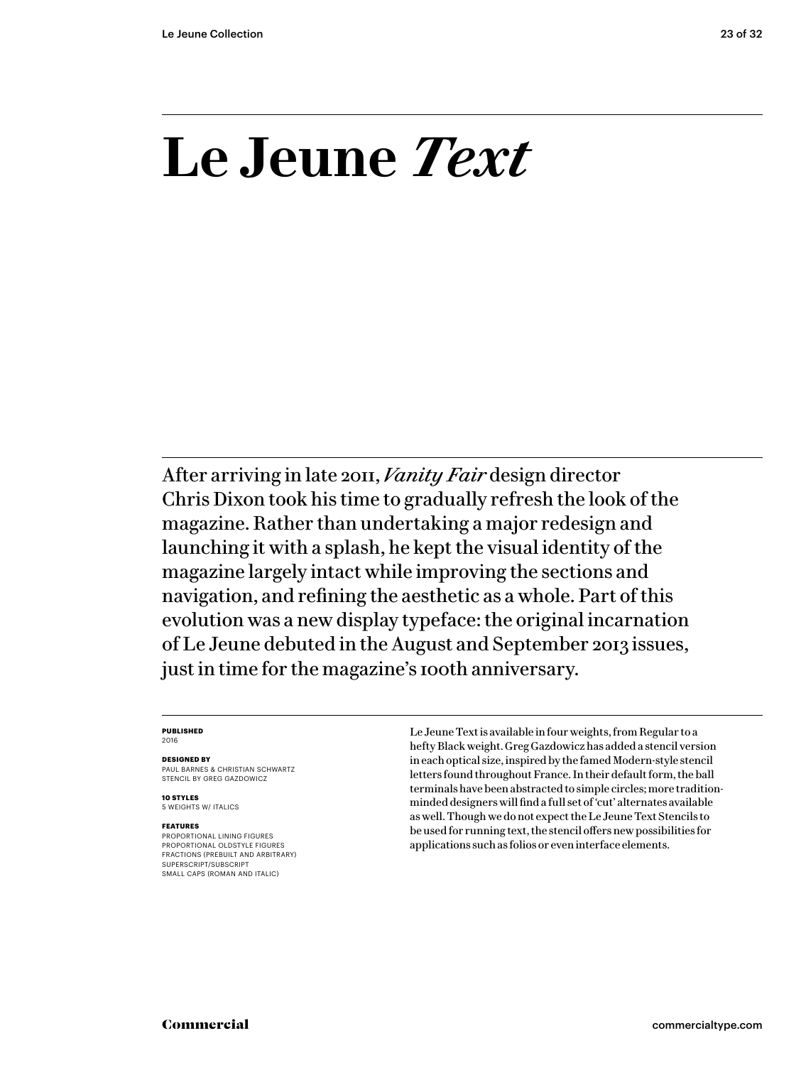### **Le Jeune** *Text*

After arriving in late 2011, *Vanity Fair* design director Chris Dixon took his time to gradually refresh the look of the magazine. Rather than undertaking a major redesign and launching it with a splash, he kept the visual identity of the magazine largely intact while improving the sections and navigation, and refining the aesthetic as a whole. Part of this evolution was a new display typeface: the original incarnation of Le Jeune debuted in the August and September 2013 issues, just in time for the magazine's 100th anniversary.

### **PUBLISHED** 2016

### **DESIGNED BY**

PAUL BARNES & CHRISTIAN SCHWARTZ STENCIL BY GREG GAZDOWICZ

**10 STYLES** 5 WEIGHTS W/ ITALICS

### **FEATURES**

PROPORTIONAL LINING FIGURES PROPORTIONAL OLDSTYLE FIGURES FRACTIONS (PREBUILT AND ARBITRARY) SUPERSCRIPT/SUBSCRIPT SMALL CAPS (ROMAN AND ITALIC)

Le Jeune Text is available in four weights, from Regular to a hefty Black weight. Greg Gazdowicz has added a stencil version in each optical size, inspired by the famed Modern-style stencil letters found throughout France. In their default form, the ball terminals have been abstracted to simple circles; more traditionminded designers will find a full set of 'cut' alternates available as well. Though we do not expect the Le Jeune Text Stencils to be used for running text, the stencil offers new possibilities for applications such as folios or even interface elements.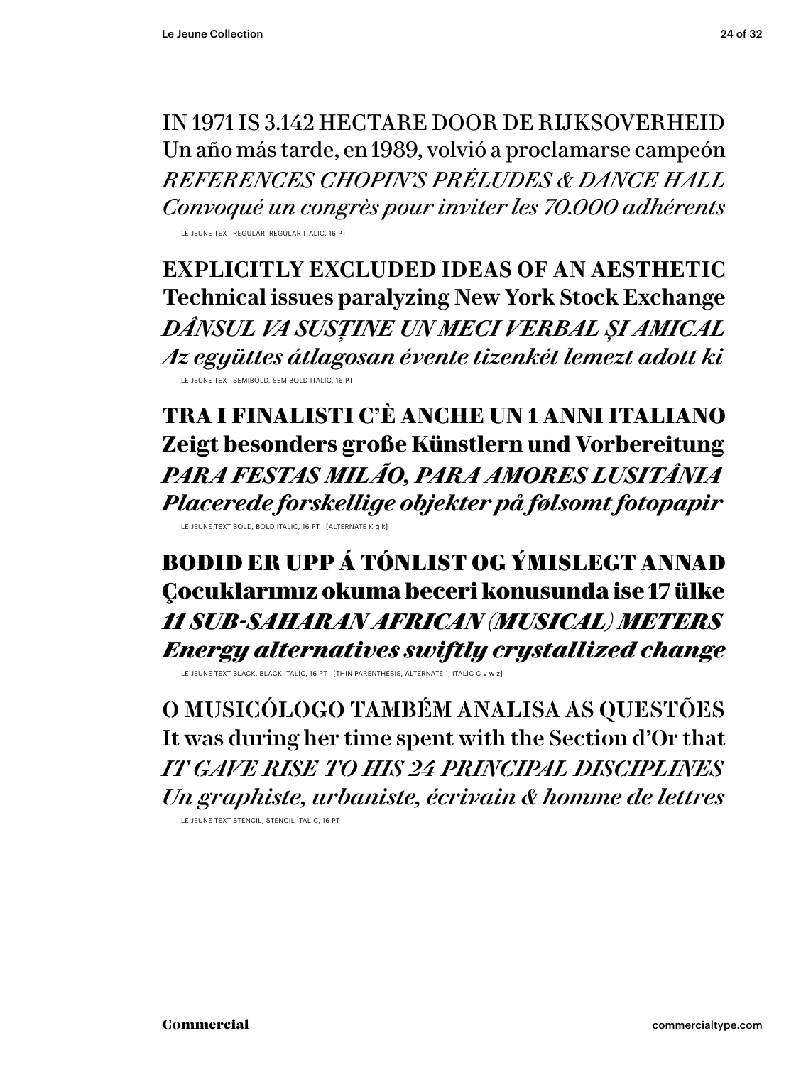IN 1971 IS 3.142 HECTARE DOOR DE RIJKSOVERHEID Un año más tarde, en 1989, volvió a proclamarse campeón *REFERENCES CHOPIN 'S PRÉLUDES & DANCE HALL Convoqué un congrès pour inviter les 70.000 adhérents*

LE JEUNE TEXT REGULAR, REGULAR ITALIC, 16 PT

**EXPLICITLY EXCLUDED IDEAS OF AN AESTHETIC Technical issues paralyzing New York Stock Exchange** *DÂNSUL VA SUSȚINE UN MECI VERBAL ȘI AMICAL Az együttes átlagosan évente tizenkét lemezt adott ki* LE JEUNE TEXT SEMIBOLD, SEMIBOLD ITALIC. 16 PT

**TRA I FINALISTI C'È ANCHE UN 1 ANNI ITALIANO Zeigt besonders große Künstlern und Vorbereitung** *PARA FESTAS MILÃO, PARA AMORES LUSITÂNIA Placerede forskellige objekter på følsomt fotopapir* LE JEUNE TEXT BOLD, BOLD ITALIC, 16 PT [ALTERNATE K g k]

BOÐIÐ ER UPP Á TÓNLIST OG ÝMISLEGT ANNAÐ Çocuklarımız okuma beceri konusunda ise 17 ülke *11 SUB-SAHARAN AFRICAN (MUSICAL) METERS Energy alternatives swiftly crystallized change*

LE JEUNE TEXT BLACK, BLACK ITALIC, 16 PT [THIN PARENTHESIS, ALTERNATE 1, ITALIC C v w z]

O MUSICÓLOGO TAMBÉM ANALISA AS QUESTÕES It was during her time spent with the Section d'Or that *IT GAVE RISE TO HIS 24 PRINCIPAL DISCIPLINES Un graphiste, urbaniste, écrivain & homme de lettres*

LE JEUNE TEXT STENCIL, STENCIL ITALIC, 16 PT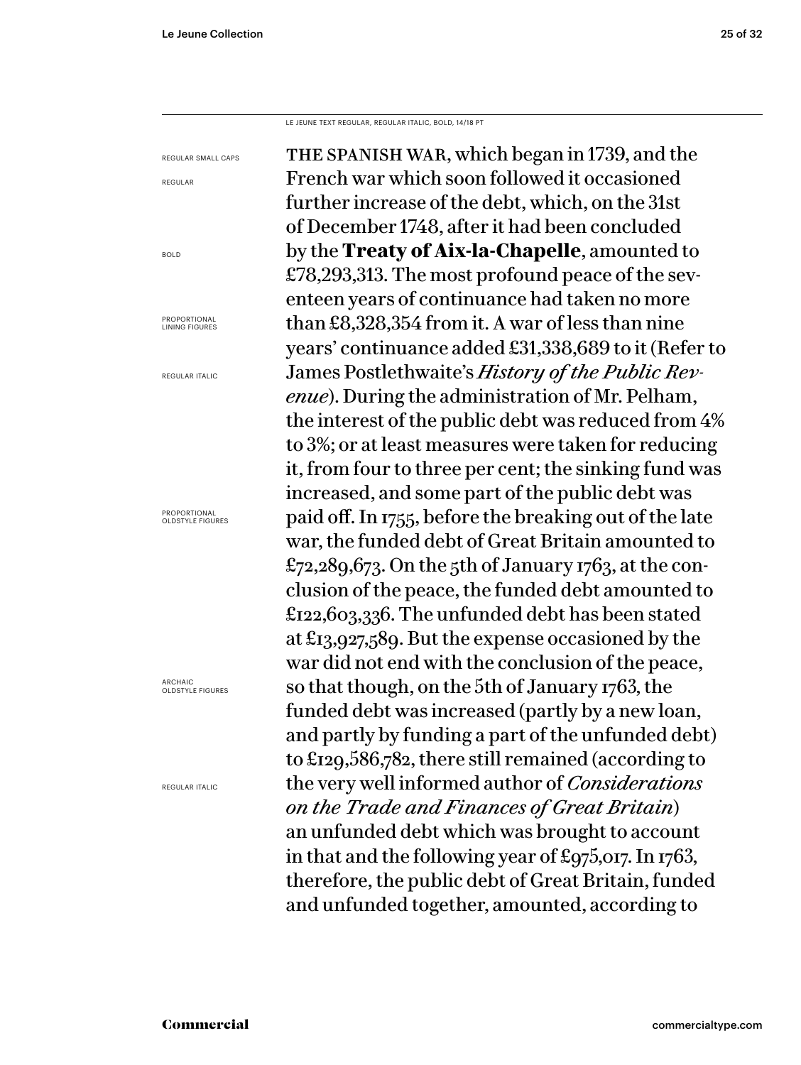BOLD

LE JEUNE TEXT REGULAR, REGULAR ITALIC, BOLD, 14/18 PT

the spanish war, which began in 1739, and the French war which soon followed it occasioned further increase of the debt, which, on the 31st of December 1748, after it had been concluded by the **Treaty of Aix-la-Chapelle**, amounted to £78,293,313. The most profound peace of the seventeen years of continuance had taken no more than £8,328,354 from it. A war of less than nine years' continuance added £31,338,689 to it (Refer to James Postlethwaite's *History of the Public Revenue*). During the administration of Mr. Pelham, the interest of the public debt was reduced from 4% to 3%; or at least measures were taken for reducing it, from four to three per cent; the sinking fund was increased, and some part of the public debt was paid off. In 1755, before the breaking out of the late war, the funded debt of Great Britain amounted to £72,289,673. On the 5th of January 1763, at the conclusion of the peace, the funded debt amounted to £122,603,336. The unfunded debt has been stated at £13,927,589. But the expense occasioned by the war did not end with the conclusion of the peace, so that though, on the 5th of January 1763, the funded debt was increased (partly by a new loan, and partly by funding a part of the unfunded debt) to £129,586,782, there still remained (according to the very well informed author of *Considerations on the Trade and F inances of Great Britain*) an unfunded debt which was brought to account in that and the following year of £975,017. In 1763, therefore, the public debt of Great Britain, funded and unfunded together, amounted, according to REGULAR SMALL CAPS REGULAR PROPORTIONAL LINING FIGURES REGULAR ITALIC PROPORTIONAL OLDSTYLE FIGURES ARCHAIC OLDSTYLE FIGURES REGULAR ITALIC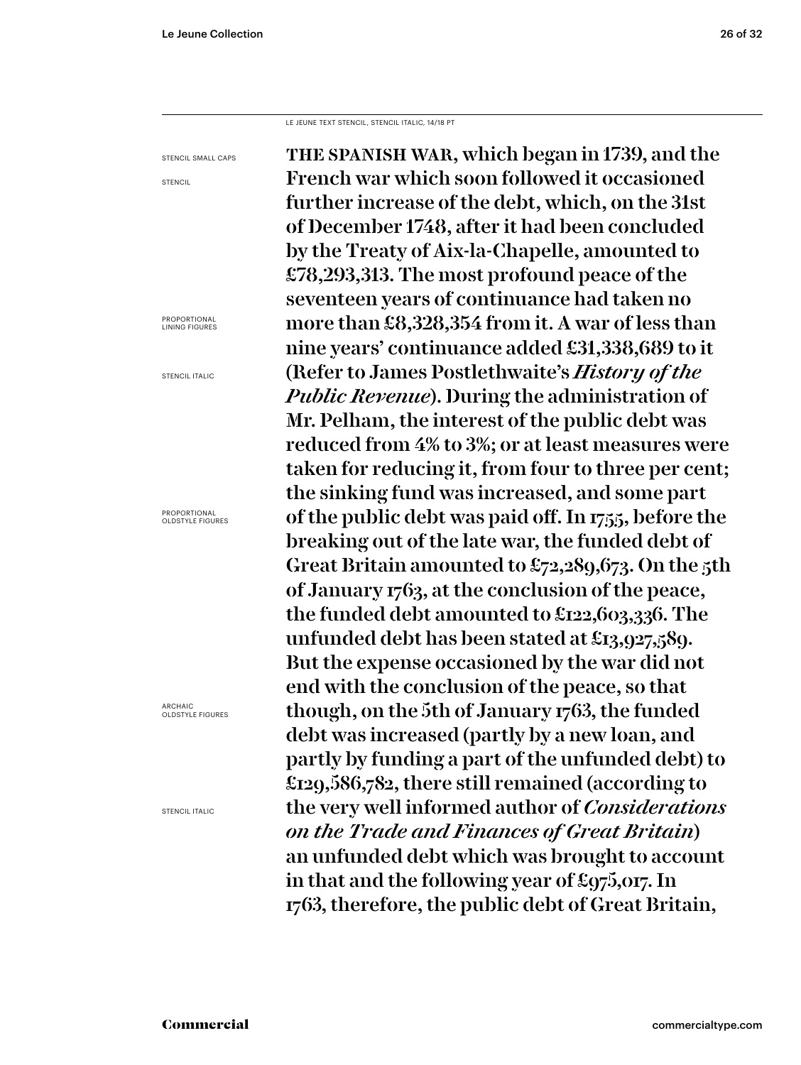LE JEUNE TEXT STENCIL, STENCIL ITALIC, 14/18 PT

the spanish war, which began in 1739, and the French war which soon followed it occasioned further increase of the debt, which, on the 31st of December 1748, after it had been concluded by the Treaty of Aix-la-Chapelle, amounted to £78,293,313. The most profound peace of the seventeen years of continuance had taken no more than £8,328,354 from it. A war of less than nine years' continuance added £31,338,689 to it (Refer to James Postlethwaite's *History of the Public Revenue*). During the administration of Mr. Pelham, the interest of the public debt was reduced from 4% to 3%; or at least measures were taken for reducing it, from four to three per cent; the sinking fund was increased, and some part of the public debt was paid off. In 1755, before the breaking out of the late war, the funded debt of Great Britain amounted to £72,289,673. On the 5th of January 1763, at the conclusion of the peace, the funded debt amounted to £122,603,336. The unfunded debt has been stated at £13,927,589. But the expense occasioned by the war did not end with the conclusion of the peace, so that though, on the 5th of January 1763, the funded debt was increased (partly by a new loan, and partly by funding a part of the unfunded debt) to £129,586,782, there still remained (according to the very well informed author of *Considerations on the Trade and Finances of Great Britain*) an unfunded debt which was brought to account in that and the following year of £975,017. In 1763, therefore, the public debt of Great Britain, STENCIL SMALL CAPS **STENCIL** PROPORTIONAL LINING FIGURES STENCIL ITALIC PROPORTIONAL OLDSTYLE FIGURES ARCHAIC OLDSTYLE FIGURES STENCIL ITALIC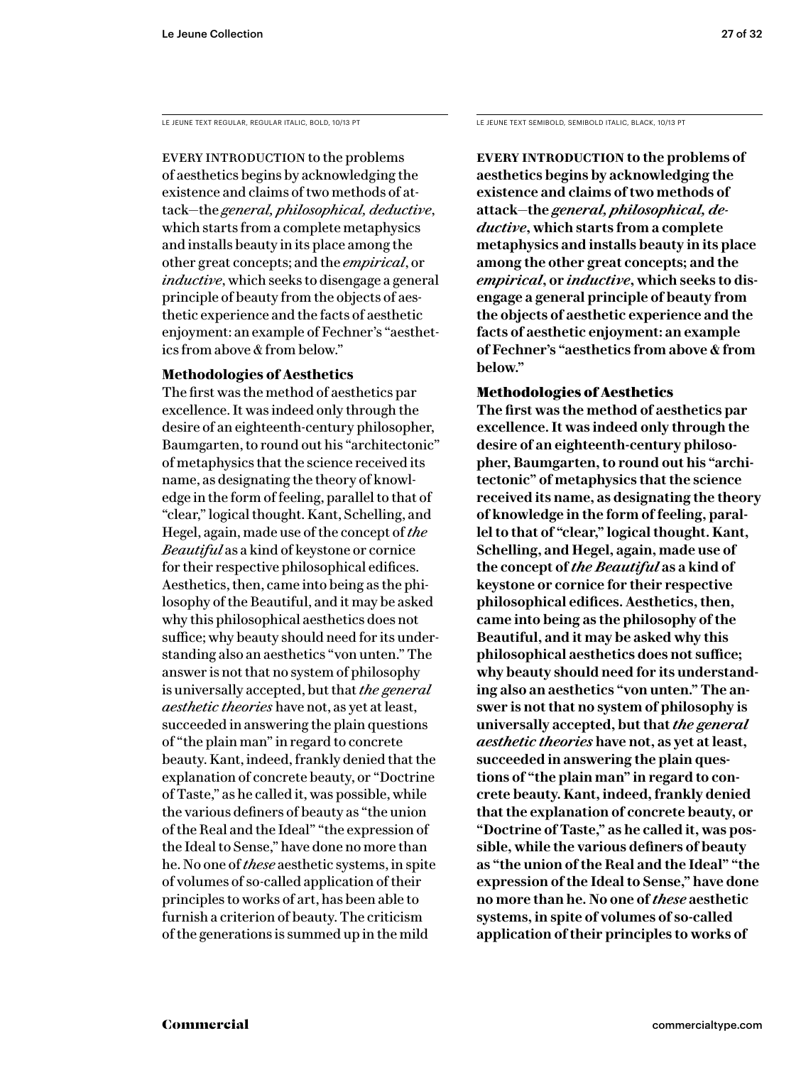EVERY INTRODUCTION to the problems of aesthetics begins by acknowledging the existence and claims of two methods of attack—the *general, philosophical, deductive*, which starts from a complete metaphysics and installs beauty in its place among the other great concepts; and the *empirical*, or *inductive*, which seeks to disengage a general principle of beauty from the objects of aesthetic experience and the facts of aesthetic enjoyment: an example of Fechner's "aesthetics from above & from below."

### **Methodologies of Aesthetics**

The first was the method of aesthetics par excellence. It was indeed only through the desire of an eighteenth-century philosopher, Baumgarten, to round out his "architectonic" of metaphysics that the science received its name, as designating the theory of knowledge in the form of feeling, parallel to that of "clear," logical thought. Kant, Schelling, and Hegel, again, made use of the concept of *the Beautiful* as a kind of keystone or cornice for their respective philosophical edifices. Aesthetics, then, came into being as the philosophy of the Beautiful, and it may be asked why this philosophical aesthetics does not suffice; why beauty should need for its understanding also an aesthetics "von unten." The answer is not that no system of philosophy is universally accepted, but that *the general aesthetic theories* have not, as yet at least, succeeded in answering the plain questions of "the plain man" in regard to concrete beauty. Kant, indeed, frankly denied that the explanation of concrete beauty, or "Doctrine of Taste," as he called it, was possible, while the various definers of beauty as "the union of the Real and the Ideal" "the expression of the Ideal to Sense," have done no more than he. No one of *these* aesthetic systems, in spite of volumes of so-called application of their principles to works of art, has been able to furnish a criterion of beauty. The criticism of the generations is summed up in the mild

LE JEUNE TEXT REGULAR, REGULAR ITALIC, BOLD, 10/13 PT LE JEUNE TEXT SEMIBOLD, SEMIBOLD ITALIC, BLACK, 10/13 PT

**Every introduction to the problems of aesthetics begins by acknowledging the existence and claims of two methods of attack—the** *general, philosophical, deductive***, which starts from a complete metaphysics and installs beauty in its place among the other great concepts; and the**  *empirical***, or** *inductive***, which seeks to disengage a general principle of beauty from the objects of aesthetic experience and the facts of aesthetic enjoyment: an example of Fechner's "aesthetics from above & from below."** 

### Methodologies of Aesthetics

**The first was the method of aesthetics par excellence. It was indeed only through the desire of an eighteenth-century philosopher, Baumgarten, to round out his "architectonic" of metaphysics that the science received its name, as designating the theory of knowledge in the form of feeling, parallel to that of "clear," logical thought. Kant, Schelling, and Hegel, again, made use of the concept of** *the Beautiful* **as a kind of keystone or cornice for their respective philosophical edifices. Aesthetics, then, came into being as the philosophy of the Beautiful, and it may be asked why this philosophical aesthetics does not suffice; why beauty should need for its understanding also an aesthetics "von unten." The answer is not that no system of philosophy is universally accepted, but that** *the general aesthetic theories* **have not, as yet at least, succeeded in answering the plain questions of "the plain man" in regard to concrete beauty. Kant, indeed, frankly denied that the explanation of concrete beauty, or "Doctrine of Taste," as he called it, was possible, while the various definers of beauty as "the union of the Real and the Ideal" "the expression of the Ideal to Sense," have done no more than he. No one of** *these* **aesthetic systems, in spite of volumes of so-called application of their principles to works of**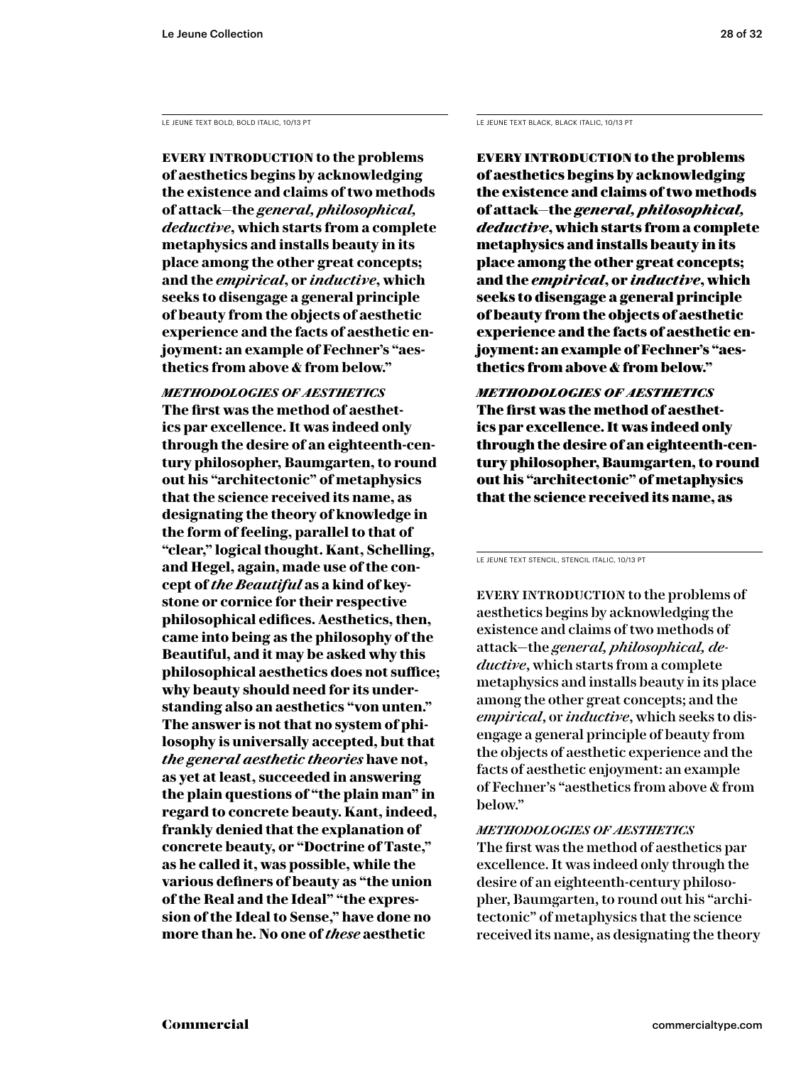**Every introduction to the problems of aesthetics begins by acknowledging the existence and claims of two methods of attack—the** *general, philosophical, deductive***, which starts from a complete metaphysics and installs beauty in its place among the other great concepts; and the** *empirical***, or** *inductive***, which seeks to disengage a general principle of beauty from the objects of aesthetic experience and the facts of aesthetic enjoyment: an example of Fechner's "aesthetics from above & from below."** 

*methodologies of aesthetics* **The first was the method of aesthetics par excellence. It was indeed only through the desire of an eighteenth-century philosopher, Baumgarten, to round out his "architectonic" of metaphysics that the science received its name, as designating the theory of knowledge in the form of feeling, parallel to that of "clear," logical thought. Kant, Schelling, and Hegel, again, made use of the concept of** *the Beautiful* **as a kind of keystone or cornice for their respective philosophical edifices. Aesthetics, then, came into being as the philosophy of the Beautiful, and it may be asked why this philosophical aesthetics does not suffice; why beauty should need for its understanding also an aesthetics "von unten." The answer is not that no system of philosophy is universally accepted, but that**  *the general aesthetic theories* **have not, as yet at least, succeeded in answering the plain questions of "the plain man" in regard to concrete beauty. Kant, indeed, frankly denied that the explanation of concrete beauty, or "Doctrine of Taste," as he called it, was possible, while the various definers of beauty as "the union of the Real and the Ideal" "the expression of the Ideal to Sense," have done no more than he. No one of** *these* **aesthetic** 

LE JEUNE TEXT BOLD, BOLD ITALIC, 10/13 PT LE JEUNE TEXT BLACK, BLACK ITALIC, 10/13 PT

Every introduction to the problems of aesthetics begins by acknowledging the existence and claims of two methods of attack—the *general, philosophical, deductive*, which starts from a complete metaphysics and installs beauty in its place among the other great concepts; and the *empirical*, or *inductive*, which seeks to disengage a general principle of beauty from the objects of aesthetic experience and the facts of aesthetic enjoyment: an example of Fechner's "aesthetics from above & from below."

*methodologies of aesthetics* The first was the method of aesthetics par excellence. It was indeed only through the desire of an eighteenth-century philosopher, Baumgarten, to round out his "architectonic" of metaphysics that the science received its name, as

LE JEUNE TEXT STENCIL, STENCIL ITALIC, 10/13 PT

EVERY INTRODUCTION to the problems of aesthetics begins by acknowledging the existence and claims of two methods of attack—the *general, philosophical, deductive*, which starts from a complete metaphysics and installs beauty in its place among the other great concepts; and the *empirical*, or *inductive*, which seeks to disengage a general principle of beauty from the objects of aesthetic experience and the facts of aesthetic enjoyment: an example of Fechner's "aesthetics from above & from below."

### *methodologies of aesthetics*

The first was the method of aesthetics par excellence. It was indeed only through the desire of an eighteenth-century philosopher, Baumgarten, to round out his "architectonic" of metaphysics that the science received its name, as designating the theory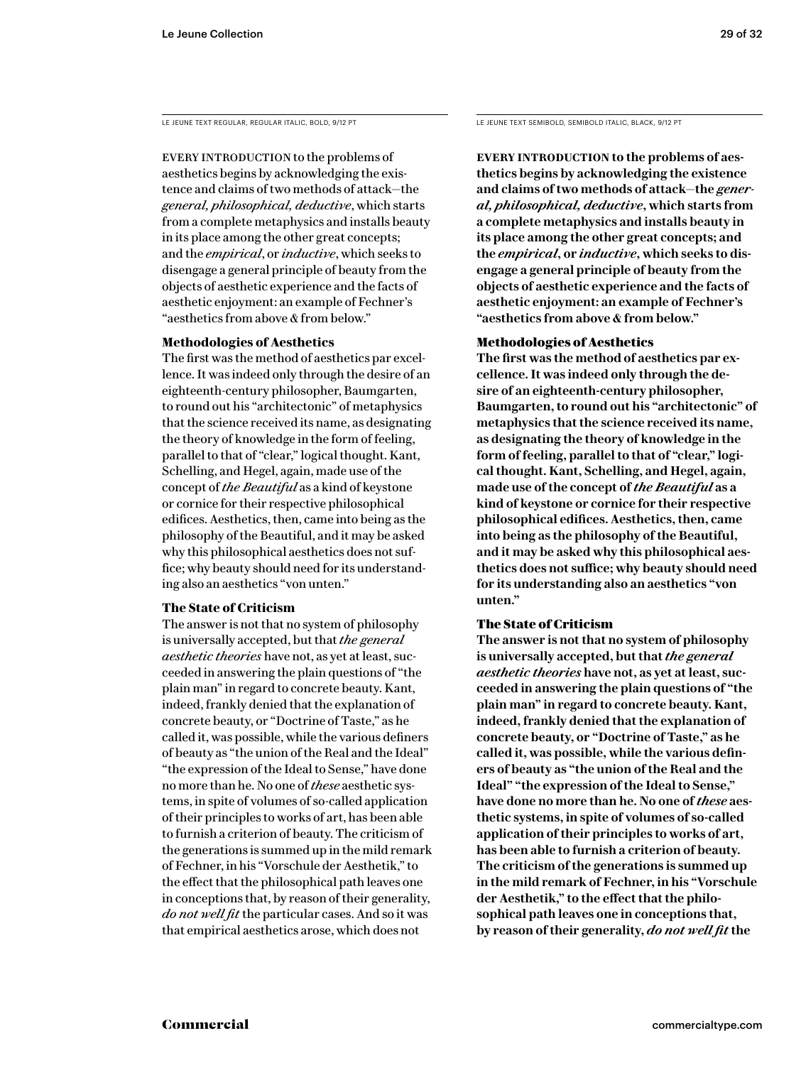EVERY INTRODUCTION to the problems of aesthetics begins by acknowledging the existence and claims of two methods of attack—the *general, philosophical, deductive*, which starts from a complete metaphysics and installs beauty in its place among the other great concepts; and the *empirical*, or *inductive*, which seeks to disengage a general principle of beauty from the objects of aesthetic experience and the facts of aesthetic enjoyment: an example of Fechner's "aesthetics from above & from below."

### **Methodologies of Aesthetics**

The first was the method of aesthetics par excellence. It was indeed only through the desire of an eighteenth-century philosopher, Baumgarten, to round out his "architectonic" of metaphysics that the science received its name, as designating the theory of knowledge in the form of feeling, parallel to that of "clear," logical thought. Kant, Schelling, and Hegel, again, made use of the concept of *the Beautiful* as a kind of keystone or cornice for their respective philosophical edifices. Aesthetics, then, came into being as the philosophy of the Beautiful, and it may be asked why this philosophical aesthetics does not suffice; why beauty should need for its understanding also an aesthetics "von unten."

### **The State of Criticism**

The answer is not that no system of philosophy is universally accepted, but that *the general aesthetic theories* have not, as yet at least, succeeded in answering the plain questions of "the plain man" in regard to concrete beauty. Kant, indeed, frankly denied that the explanation of concrete beauty, or "Doctrine of Taste," as he called it, was possible, while the various definers of beauty as "the union of the Real and the Ideal" "the expression of the Ideal to Sense," have done no more than he. No one of *these* aesthetic systems, in spite of volumes of so-called application of their principles to works of art, has been able to furnish a criterion of beauty. The criticism of the generations is summed up in the mild remark of Fechner, in his "Vorschule der Aesthetik," to the effect that the philosophical path leaves one in conceptions that, by reason of their generality, *do not well fit* the particular cases. And so it was that empirical aesthetics arose, which does not

LE JEUNE TEXT REGULAR, REGULAR ITALIC, BOLD, 9/12 PT LE JEUNE TEXT SEMIBOLD, SEMIBOLD ITALIC, BLACK, 9/12 PT

**EVERY INTRODUCTION to the problems of aesthetics begins by acknowledging the existence and claims of two methods of attack—the** *general, philosophical, deductive***, which starts from a complete metaphysics and installs beauty in its place among the other great concepts; and the** *empirical***, or** *inductive***, which seeks to disengage a general principle of beauty from the objects of aesthetic experience and the facts of aesthetic enjoyment: an example of Fechner's "aesthetics from above & from below."** 

### Methodologies of Aesthetics

**The first was the method of aesthetics par excellence. It was indeed only through the desire of an eighteenth-century philosopher, Baumgarten, to round out his "architectonic" of metaphysics that the science received its name, as designating the theory of knowledge in the form of feeling, parallel to that of "clear," logical thought. Kant, Schelling, and Hegel, again, made use of the concept of** *the Beautiful* **as a kind of keystone or cornice for their respective philosophical edifices. Aesthetics, then, came into being as the philosophy of the Beautiful, and it may be asked why this philosophical aesthetics does not suffice; why beauty should need for its understanding also an aesthetics "von unten."** 

### The State of Criticism

**The answer is not that no system of philosophy is universally accepted, but that** *the general aesthetic theories* **have not, as yet at least, succeeded in answering the plain questions of "the plain man" in regard to concrete beauty. Kant, indeed, frankly denied that the explanation of concrete beauty, or "Doctrine of Taste," as he called it, was possible, while the various definers of beauty as "the union of the Real and the Ideal" "the expression of the Ideal to Sense," have done no more than he. No one of** *these* **aesthetic systems, in spite of volumes of so-called application of their principles to works of art, has been able to furnish a criterion of beauty. The criticism of the generations is summed up in the mild remark of Fechner, in his "Vorschule der Aesthetik," to the effect that the philosophical path leaves one in conceptions that, by reason of their generality,** *do not well fit* **the**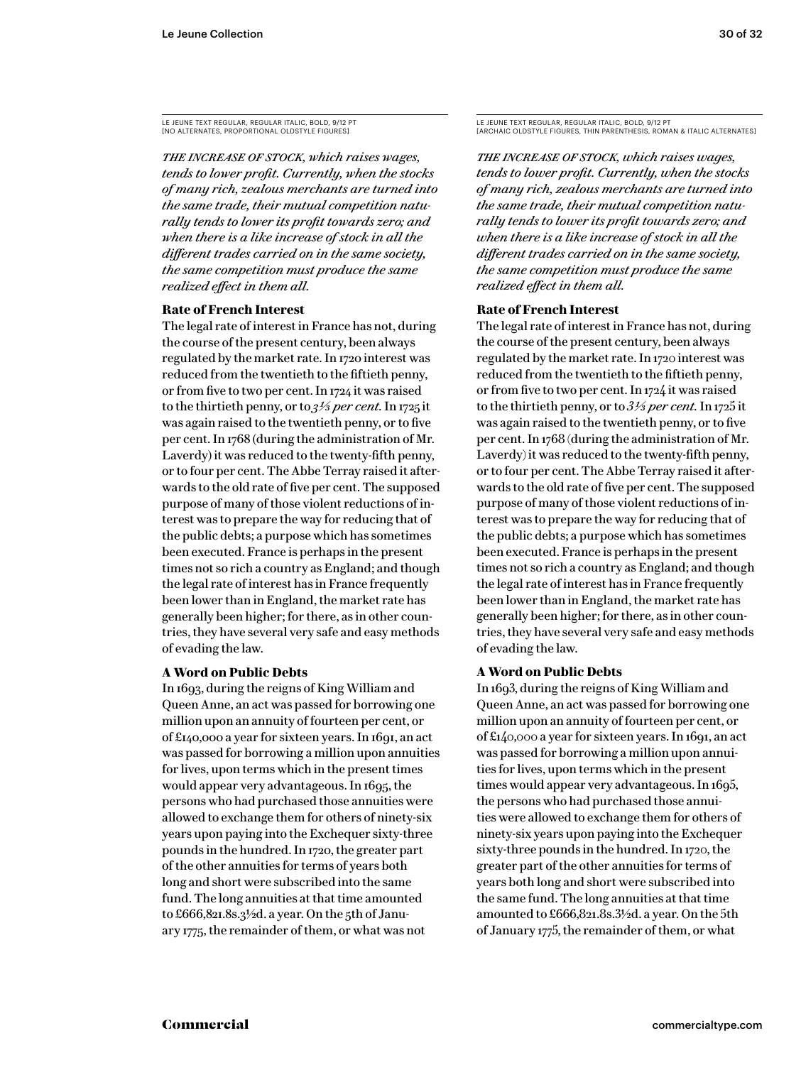*The increase of stock, which raises wages, tends to lower profit. Currently, when the stocks of many rich, zealous merchants are turned into the same trade, their mutual competition naturally tends to lower its profit towards zero; and when there is a like increase of stock in all the different trades carried on in the same society, the same competition must produce the same realized effect in them all.*

### **Rate of French Interest**

The legal rate of interest in France has not, during the course of the present century, been always regulated by the market rate. In 1720 interest was reduced from the twentieth to the fiftieth penny, or from five to two per cent. In 1724 it was raised to the thirtieth penny, or to *3 1/3 per cent.* In 1725 it was again raised to the twentieth penny, or to five per cent. In 1768 (during the administration of Mr. Laverdy) it was reduced to the twenty-fifth penny, or to four per cent. The Abbe Terray raised it afterwards to the old rate of five per cent. The supposed purpose of many of those violent reductions of interest was to prepare the way for reducing that of the public debts; a purpose which has sometimes been executed. France is perhaps in the present times not so rich a country as England; and though the legal rate of interest has in France frequently been lower than in England, the market rate has generally been higher; for there, as in other countries, they have several very safe and easy methods of evading the law.

### **A Word on Public Debts**

In 1693, during the reigns of King William and Queen Anne, an act was passed for borrowing one million upon an annuity of fourteen per cent, or of £140,000 a year for sixteen years. In 1691, an act was passed for borrowing a million upon annuities for lives, upon terms which in the present times would appear very advantageous. In 1695, the persons who had purchased those annuities were allowed to exchange them for others of ninety-six years upon paying into the Exchequer sixty-three pounds in the hundred. In 1720, the greater part of the other annuities for terms of years both long and short were subscribed into the same fund. The long annuities at that time amounted to £666,821.8s.3<sup>1</sup>/2d. a year. On the 5th of January 1775, the remainder of them, or what was not

*The increase of stock, which raises wages, tends to lower profit. Currently, when the stocks of many rich, zealous merchants are turned into the same trade, their mutual competition naturally tends to lower its profit towards zero; and when there is a like increase of stock in all the different trades carried on in the same society, the same competition must produce the same realized effect in them all.*

### **Rate of French Interest**

The legal rate of interest in France has not, during the course of the present century, been always regulated by the market rate. In 1720 interest was reduced from the twentieth to the fiftieth penny, or from five to two per cent. In 1724 it was raised to the thirtieth penny, or to *3 1/3 per cent.* In 1725 it was again raised to the twentieth penny, or to five per cent. In 1768 (during the administration of Mr. Laverdy) it was reduced to the twenty-fifth penny, or to four per cent. The Abbe Terray raised it afterwards to the old rate of five per cent. The supposed purpose of many of those violent reductions of interest was to prepare the way for reducing that of the public debts; a purpose which has sometimes been executed. France is perhaps in the present times not so rich a country as England; and though the legal rate of interest has in France frequently been lower than in England, the market rate has generally been higher; for there, as in other countries, they have several very safe and easy methods of evading the law.

### **A Word on Public Debts**

In 1693, during the reigns of King William and Queen Anne, an act was passed for borrowing one million upon an annuity of fourteen per cent, or of £140,000 a year for sixteen years. In 1691, an act was passed for borrowing a million upon annuities for lives, upon terms which in the present times would appear very advantageous. In 1695, the persons who had purchased those annuities were allowed to exchange them for others of ninety-six years upon paying into the Exchequer sixty-three pounds in the hundred. In 1720, the greater part of the other annuities for terms of years both long and short were subscribed into the same fund. The long annuities at that time amounted to £666,821.8s.3½d. a year. On the 5th of January 1775, the remainder of them, or what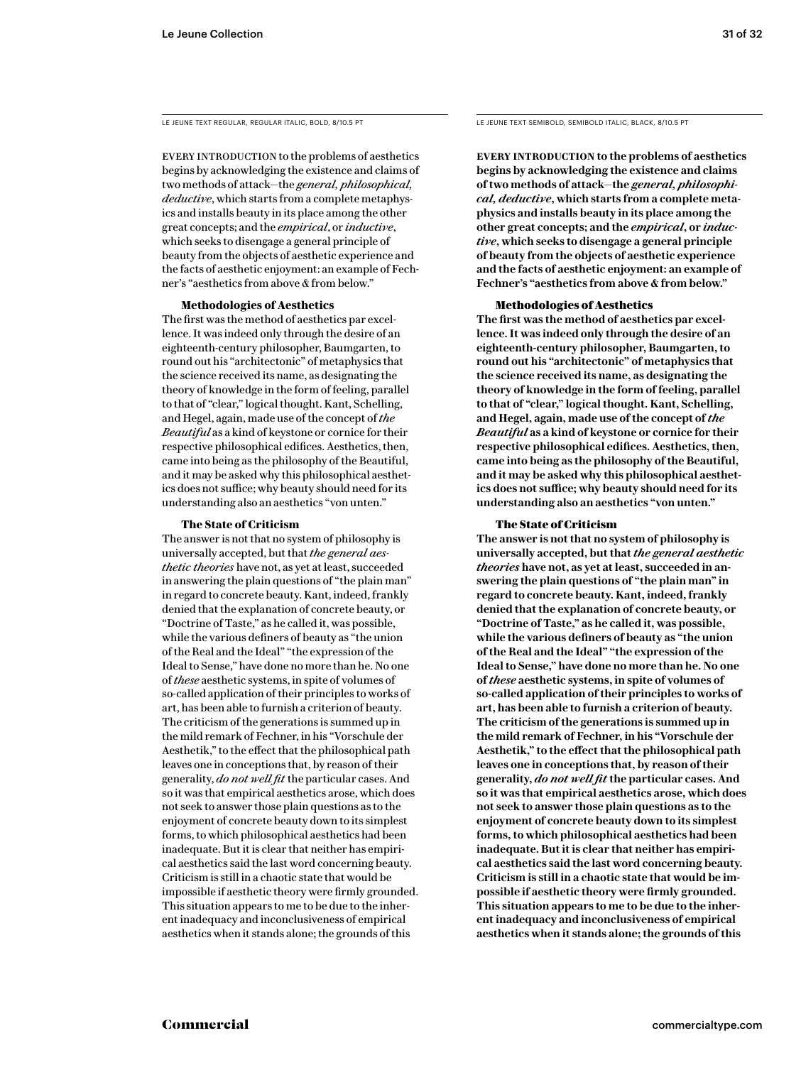EVERY INTRODUCTION to the problems of aesthetics begins by acknowledging the existence and claims of two methods of attack—the *general, philosophical, deductive*, which starts from a complete metaphysics and installs beauty in its place among the other great concepts; and the *empirical*, or *inductive*, which seeks to disengage a general principle of beauty from the objects of aesthetic experience and the facts of aesthetic enjoyment: an example of Fechner's "aesthetics from above & from below."

### **Methodologies of Aesthetics**

The first was the method of aesthetics par excellence. It was indeed only through the desire of an eighteenth-century philosopher, Baumgarten, to round out his "architectonic" of metaphysics that the science received its name, as designating the theory of knowledge in the form of feeling, parallel to that of "clear," logical thought. Kant, Schelling, and Hegel, again, made use of the concept of *the Beautiful* as a kind of keystone or cornice for their respective philosophical edifices. Aesthetics, then, came into being as the philosophy of the Beautiful, and it may be asked why this philosophical aesthetics does not suffice; why beauty should need for its understanding also an aesthetics "von unten."

### **The State of Criticism**

The answer is not that no system of philosophy is universally accepted, but that *the general aesthetic theories* have not, as yet at least, succeeded in answering the plain questions of "the plain man" in regard to concrete beauty. Kant, indeed, frankly denied that the explanation of concrete beauty, or "Doctrine of Taste," as he called it, was possible, while the various definers of beauty as "the union of the Real and the Ideal" "the expression of the Ideal to Sense," have done no more than he. No one of *these* aesthetic systems, in spite of volumes of so-called application of their principles to works of art, has been able to furnish a criterion of beauty. The criticism of the generations is summed up in the mild remark of Fechner, in his "Vorschule der Aesthetik," to the effect that the philosophical path leaves one in conceptions that, by reason of their generality, *do not well fit* the particular cases. And so it was that empirical aesthetics arose, which does not seek to answer those plain questions as to the enjoyment of concrete beauty down to its simplest forms, to which philosophical aesthetics had been inadequate. But it is clear that neither has empirical aesthetics said the last word concerning beauty. Criticism is still in a chaotic state that would be impossible if aesthetic theory were firmly grounded. This situation appears to me to be due to the inherent inadequacy and inconclusiveness of empirical aesthetics when it stands alone; the grounds of this

LE JEUNE TEXT REGULAR, REGULAR ITALIC, BOLD, 8/10.5 PT LE JEUNE TEXT SEMIBOLD, SEMIBOLD ITALIC, BLACK, 8/10.5 PT

**Every introduction to the problems of aesthetics begins by acknowledging the existence and claims of two methods of attack—the** *general, philosophical, deductive***, which starts from a complete metaphysics and installs beauty in its place among the other great concepts; and the** *empirical***, or** *inductive***, which seeks to disengage a general principle of beauty from the objects of aesthetic experience and the facts of aesthetic enjoyment: an example of Fechner's "aesthetics from above & from below."** 

### Methodologies of Aesthetics

**The first was the method of aesthetics par excellence. It was indeed only through the desire of an eighteenth-century philosopher, Baumgarten, to round out his "architectonic" of metaphysics that the science received its name, as designating the theory of knowledge in the form of feeling, parallel to that of "clear," logical thought. Kant, Schelling, and Hegel, again, made use of the concept of** *the Beautiful* **as a kind of keystone or cornice for their respective philosophical edifices. Aesthetics, then, came into being as the philosophy of the Beautiful, and it may be asked why this philosophical aesthetics does not suffice; why beauty should need for its understanding also an aesthetics "von unten."** 

### The State of Criticism

**The answer is not that no system of philosophy is universally accepted, but that** *the general aesthetic theories* **have not, as yet at least, succeeded in answering the plain questions of "the plain man" in regard to concrete beauty. Kant, indeed, frankly denied that the explanation of concrete beauty, or "Doctrine of Taste," as he called it, was possible, while the various definers of beauty as "the union of the Real and the Ideal" "the expression of the Ideal to Sense," have done no more than he. No one of** *these* **aesthetic systems, in spite of volumes of so-called application of their principles to works of art, has been able to furnish a criterion of beauty. The criticism of the generations is summed up in the mild remark of Fechner, in his "Vorschule der Aesthetik," to the effect that the philosophical path leaves one in conceptions that, by reason of their generality,** *do not well fit* **the particular cases. And so it was that empirical aesthetics arose, which does not seek to answer those plain questions as to the enjoyment of concrete beauty down to its simplest forms, to which philosophical aesthetics had been inadequate. But it is clear that neither has empirical aesthetics said the last word concerning beauty. Criticism is still in a chaotic state that would be impossible if aesthetic theory were firmly grounded. This situation appears to me to be due to the inherent inadequacy and inconclusiveness of empirical aesthetics when it stands alone; the grounds of this**